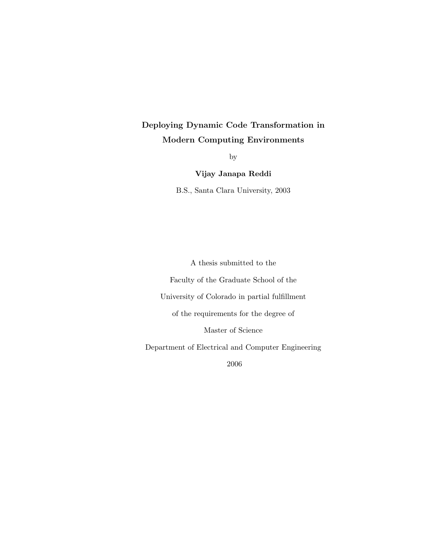# Deploying Dynamic Code Transformation in Modern Computing Environments

by

Vijay Janapa Reddi

B.S., Santa Clara University, 2003

A thesis submitted to the Faculty of the Graduate School of the University of Colorado in partial fulfillment of the requirements for the degree of Master of Science Department of Electrical and Computer Engineering

2006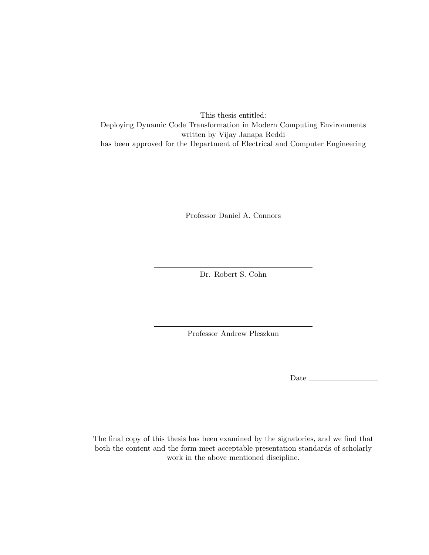This thesis entitled: Deploying Dynamic Code Transformation in Modern Computing Environments written by Vijay Janapa Reddi has been approved for the Department of Electrical and Computer Engineering

Professor Daniel A. Connors

Dr. Robert S. Cohn

Professor Andrew Pleszkun

Date  $\equiv$ 

The final copy of this thesis has been examined by the signatories, and we find that both the content and the form meet acceptable presentation standards of scholarly work in the above mentioned discipline.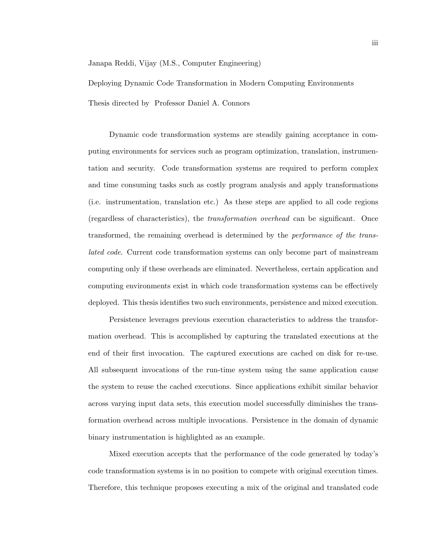Janapa Reddi, Vijay (M.S., Computer Engineering)

Deploying Dynamic Code Transformation in Modern Computing Environments

Thesis directed by Professor Daniel A. Connors

Dynamic code transformation systems are steadily gaining acceptance in computing environments for services such as program optimization, translation, instrumentation and security. Code transformation systems are required to perform complex and time consuming tasks such as costly program analysis and apply transformations (i.e. instrumentation, translation etc.) As these steps are applied to all code regions (regardless of characteristics), the transformation overhead can be significant. Once transformed, the remaining overhead is determined by the performance of the translated code. Current code transformation systems can only become part of mainstream computing only if these overheads are eliminated. Nevertheless, certain application and computing environments exist in which code transformation systems can be effectively deployed. This thesis identifies two such environments, persistence and mixed execution.

Persistence leverages previous execution characteristics to address the transformation overhead. This is accomplished by capturing the translated executions at the end of their first invocation. The captured executions are cached on disk for re-use. All subsequent invocations of the run-time system using the same application cause the system to reuse the cached executions. Since applications exhibit similar behavior across varying input data sets, this execution model successfully diminishes the transformation overhead across multiple invocations. Persistence in the domain of dynamic binary instrumentation is highlighted as an example.

Mixed execution accepts that the performance of the code generated by today's code transformation systems is in no position to compete with original execution times. Therefore, this technique proposes executing a mix of the original and translated code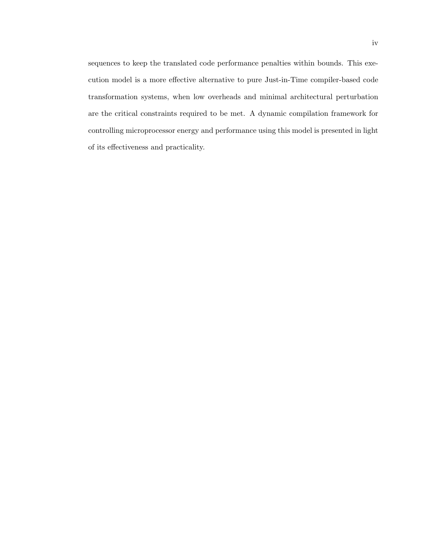sequences to keep the translated code performance penalties within bounds. This execution model is a more effective alternative to pure Just-in-Time compiler-based code transformation systems, when low overheads and minimal architectural perturbation are the critical constraints required to be met. A dynamic compilation framework for controlling microprocessor energy and performance using this model is presented in light of its effectiveness and practicality.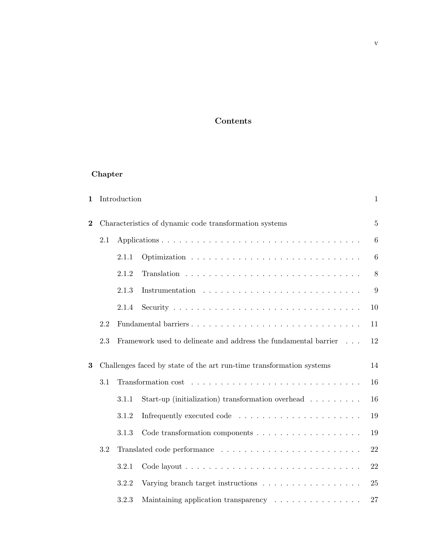# Contents

# Chapter

| $\mathbf{1}$   |     | Introduction |                                                                          | $\mathbf{1}$     |
|----------------|-----|--------------|--------------------------------------------------------------------------|------------------|
| $\overline{2}$ |     |              | Characteristics of dynamic code transformation systems                   | $\overline{5}$   |
|                | 2.1 |              |                                                                          | $\,6\,$          |
|                |     | 2.1.1        |                                                                          | 6                |
|                |     | 2.1.2        |                                                                          | $8\,$            |
|                |     | 2.1.3        |                                                                          | $\boldsymbol{9}$ |
|                |     | 2.1.4        |                                                                          | 10               |
|                | 2.2 |              |                                                                          | 11               |
|                | 2.3 |              | Framework used to delineate and address the fundamental barrier          | 12               |
| 3              |     |              | Challenges faced by state of the art run-time transformation systems     | 14               |
|                | 3.1 |              |                                                                          | 16               |
|                |     | 3.1.1        | Start-up (initialization) transformation overhead $\ldots \ldots \ldots$ | 16               |
|                |     | 3.1.2        |                                                                          | 19               |
|                |     | 3.1.3        |                                                                          | 19               |
|                | 3.2 |              |                                                                          | 22               |
|                |     | 3.2.1        |                                                                          | 22               |
|                |     | 3.2.2        | Varying branch target instructions                                       | 25               |
|                |     | 3.2.3        | Maintaining application transparency                                     | 27               |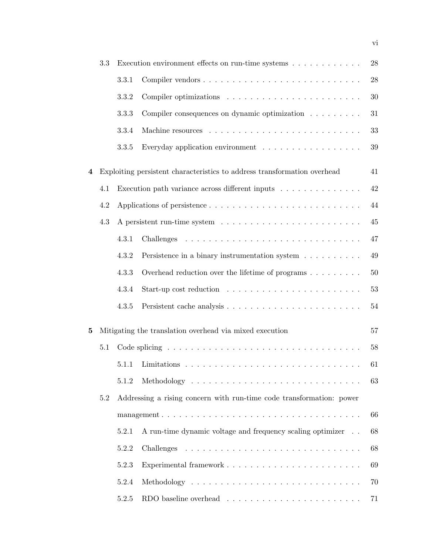|   | 3.3 |                                                                      | Execution environment effects on run-time systems $\dots \dots \dots \dots$ | 28 |  |  |
|---|-----|----------------------------------------------------------------------|-----------------------------------------------------------------------------|----|--|--|
|   |     | 3.3.1                                                                |                                                                             | 28 |  |  |
|   |     | 3.3.2                                                                |                                                                             | 30 |  |  |
|   |     | 3.3.3                                                                | Compiler consequences on dynamic optimization $\ldots \ldots \ldots$        | 31 |  |  |
|   |     | 3.3.4                                                                |                                                                             | 33 |  |  |
|   |     | 3.3.5                                                                | Everyday application environment $\ldots \ldots \ldots \ldots \ldots$       | 39 |  |  |
| 4 |     |                                                                      | Exploiting persistent characteristics to address transformation overhead    | 41 |  |  |
|   | 4.1 |                                                                      | Execution path variance across different inputs                             | 42 |  |  |
|   | 4.2 |                                                                      |                                                                             | 44 |  |  |
|   | 4.3 |                                                                      |                                                                             | 45 |  |  |
|   |     | 4.3.1                                                                |                                                                             | 47 |  |  |
|   |     | 4.3.2                                                                | Persistence in a binary instrumentation system                              | 49 |  |  |
|   |     | 4.3.3                                                                | Overhead reduction over the lifetime of programs $\ldots \ldots \ldots$     | 50 |  |  |
|   |     | 4.3.4                                                                | Start-up cost reduction $\ldots \ldots \ldots \ldots \ldots \ldots \ldots$  | 53 |  |  |
|   |     | 4.3.5                                                                |                                                                             | 54 |  |  |
| 5 |     |                                                                      | Mitigating the translation overhead via mixed execution                     | 57 |  |  |
|   | 5.1 |                                                                      |                                                                             |    |  |  |
|   |     | 5.1.1                                                                |                                                                             | 61 |  |  |
|   |     | 5.1.2                                                                |                                                                             |    |  |  |
|   | 5.2 | Addressing a rising concern with run-time code transformation: power |                                                                             |    |  |  |
|   |     |                                                                      |                                                                             |    |  |  |
|   |     | 5.2.1                                                                | A run-time dynamic voltage and frequency scaling optimizer                  | 68 |  |  |
|   |     | 5.2.2                                                                |                                                                             | 68 |  |  |
|   |     | 5.2.3                                                                |                                                                             | 69 |  |  |
|   |     | 5.2.4                                                                |                                                                             | 70 |  |  |
|   |     | 5.2.5                                                                | RDO baseline overhead $\ldots \ldots \ldots \ldots \ldots \ldots \ldots$    | 71 |  |  |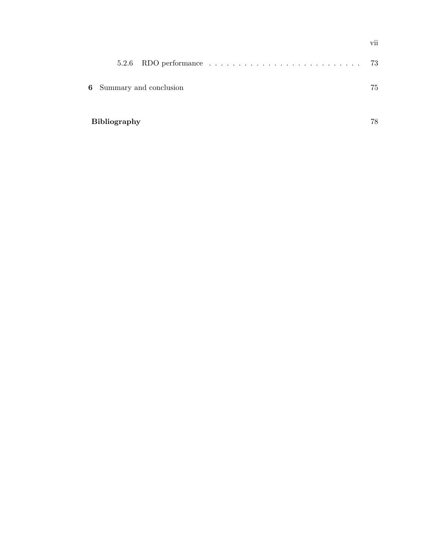| 5.2.6               |                                 |  |  | 73 |
|---------------------|---------------------------------|--|--|----|
|                     | <b>6</b> Summary and conclusion |  |  | 75 |
| <b>Bibliography</b> |                                 |  |  | 78 |

vii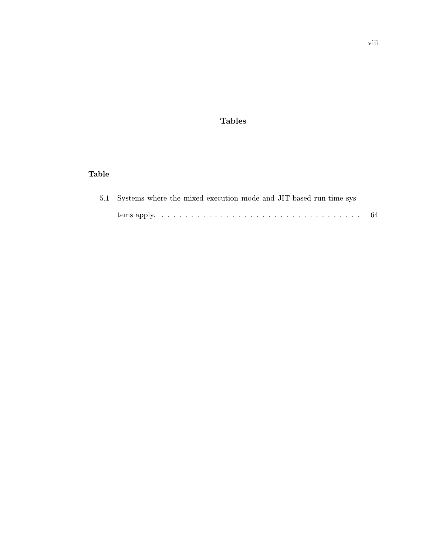## Tables

# Table

|  |  |  |  | 5.1 Systems where the mixed execution mode and JIT-based run-time sys- |  |
|--|--|--|--|------------------------------------------------------------------------|--|
|  |  |  |  |                                                                        |  |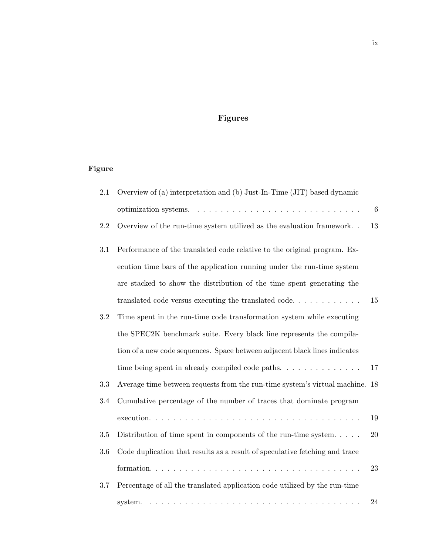# Figures

# Figure

| 2.1     | Overview of (a) interpretation and (b) Just-In-Time (JIT) based dynamic      |                 |
|---------|------------------------------------------------------------------------------|-----------------|
|         |                                                                              | $6\phantom{.}6$ |
| 2.2     | Overview of the run-time system utilized as the evaluation framework         | 13              |
| 3.1     | Performance of the translated code relative to the original program. Ex-     |                 |
|         | ecution time bars of the application running under the run-time system       |                 |
|         | are stacked to show the distribution of the time spent generating the        |                 |
|         |                                                                              | 15              |
| $\!.2$  | Time spent in the run-time code transformation system while executing        |                 |
|         | the SPEC2K benchmark suite. Every black line represents the compila-         |                 |
|         | tion of a new code sequences. Space between adjacent black lines indicates   |                 |
|         | time being spent in already compiled code paths. $\dots \dots \dots \dots$   | 17              |
| 3.3     | Average time between requests from the run-time system's virtual machine. 18 |                 |
| 3.4     | Cumulative percentage of the number of traces that dominate program          |                 |
|         |                                                                              | 19              |
| $3.5\,$ | Distribution of time spent in components of the run-time system. $\ldots$ .  | $20\,$          |
| $3.6\,$ | Code duplication that results as a result of speculative fetching and trace  |                 |
|         |                                                                              | 23              |
| 3.7     | Percentage of all the translated application code utilized by the run-time   |                 |
|         | system.                                                                      | 24              |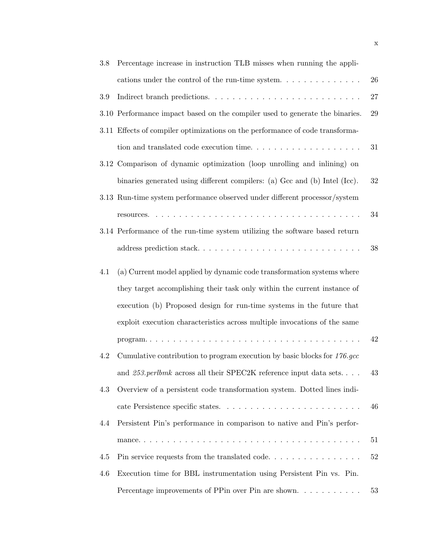| 3.8 | Percentage increase in instruction TLB misses when running the appli-                |        |
|-----|--------------------------------------------------------------------------------------|--------|
|     | cations under the control of the run-time system. $\ldots \ldots \ldots \ldots$      | 26     |
| 3.9 |                                                                                      | $27\,$ |
|     | 3.10 Performance impact based on the compiler used to generate the binaries.         | $\,29$ |
|     | 3.11 Effects of compiler optimizations on the performance of code transforma-        |        |
|     | tion and translated code execution time. $\ldots \ldots \ldots \ldots \ldots \ldots$ | 31     |
|     | 3.12 Comparison of dynamic optimization (loop unrolling and inlining) on             |        |
|     | binaries generated using different compilers: (a) Gcc and (b) Intel (Icc).           | $32\,$ |
|     | 3.13 Run-time system performance observed under different processor/system           |        |
|     |                                                                                      | 34     |
|     | 3.14 Performance of the run-time system utilizing the software based return          |        |
|     | address prediction stack                                                             | 38     |
| 4.1 | (a) Current model applied by dynamic code transformation systems where               |        |
|     | they target accomplishing their task only within the current instance of             |        |
|     | execution (b) Proposed design for run-time systems in the future that                |        |
|     | exploit execution characteristics across multiple invocations of the same            |        |
|     |                                                                                      | 42     |
| 4.2 | Cumulative contribution to program execution by basic blocks for 176.gcc             |        |
|     | and $253. perlbmk$ across all their SPEC2K reference input data sets. 43             |        |
| 4.3 | Overview of a persistent code transformation system. Dotted lines indi-              |        |
|     |                                                                                      | 46     |
| 4.4 | Persistent Pin's performance in comparison to native and Pin's perfor-               |        |
|     |                                                                                      | 51     |
| 4.5 |                                                                                      | 52     |
| 4.6 | Execution time for BBL instrumentation using Persistent Pin vs. Pin.                 |        |
|     | Percentage improvements of PPin over Pin are shown                                   | 53     |
|     |                                                                                      |        |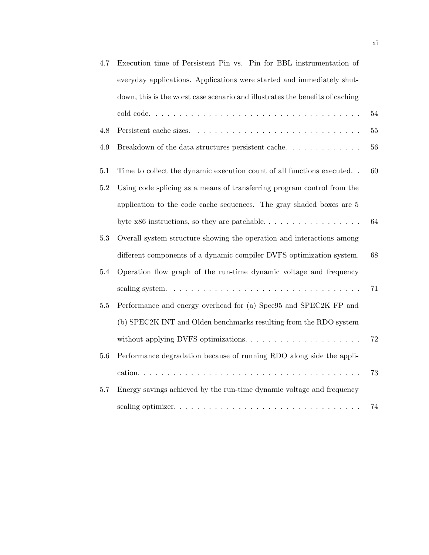| 4.7     | Execution time of Persistent Pin vs. Pin for BBL instrumentation of              |    |
|---------|----------------------------------------------------------------------------------|----|
|         | everyday applications. Applications were started and immediately shut-           |    |
|         | down, this is the worst case scenario and illustrates the benefits of caching    |    |
|         |                                                                                  | 54 |
| 4.8     |                                                                                  | 55 |
| 4.9     | Breakdown of the data structures persistent cache. $\ldots \ldots \ldots \ldots$ | 56 |
| 5.1     | Time to collect the dynamic execution count of all functions executed. .         | 60 |
| $5.2\,$ | Using code splicing as a means of transferring program control from the          |    |
|         | application to the code cache sequences. The gray shaded boxes are 5             |    |
|         |                                                                                  | 64 |
| 5.3     | Overall system structure showing the operation and interactions among            |    |
|         | different components of a dynamic compiler DVFS optimization system.             | 68 |
| 5.4     | Operation flow graph of the run-time dynamic voltage and frequency               |    |
|         |                                                                                  | 71 |
| $5.5\,$ | Performance and energy overhead for (a) Spec95 and SPEC2K FP and                 |    |
|         | (b) SPEC2K INT and Olden benchmarks resulting from the RDO system                |    |
|         |                                                                                  | 72 |
| 5.6     | Performance degradation because of running RDO along side the appli-             |    |
|         |                                                                                  | 73 |
| 5.7     | Energy savings achieved by the run-time dynamic voltage and frequency            |    |
|         |                                                                                  | 74 |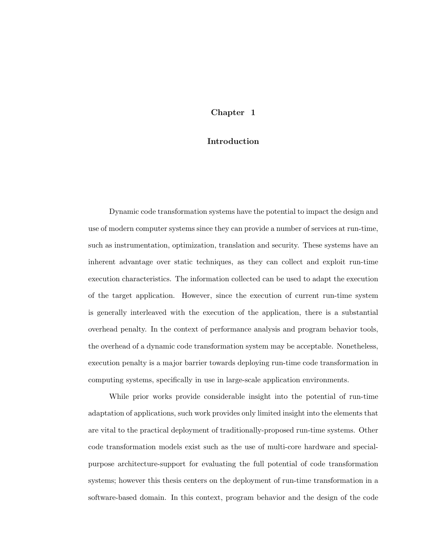### Chapter 1

### Introduction

Dynamic code transformation systems have the potential to impact the design and use of modern computer systems since they can provide a number of services at run-time, such as instrumentation, optimization, translation and security. These systems have an inherent advantage over static techniques, as they can collect and exploit run-time execution characteristics. The information collected can be used to adapt the execution of the target application. However, since the execution of current run-time system is generally interleaved with the execution of the application, there is a substantial overhead penalty. In the context of performance analysis and program behavior tools, the overhead of a dynamic code transformation system may be acceptable. Nonetheless, execution penalty is a major barrier towards deploying run-time code transformation in computing systems, specifically in use in large-scale application environments.

While prior works provide considerable insight into the potential of run-time adaptation of applications, such work provides only limited insight into the elements that are vital to the practical deployment of traditionally-proposed run-time systems. Other code transformation models exist such as the use of multi-core hardware and specialpurpose architecture-support for evaluating the full potential of code transformation systems; however this thesis centers on the deployment of run-time transformation in a software-based domain. In this context, program behavior and the design of the code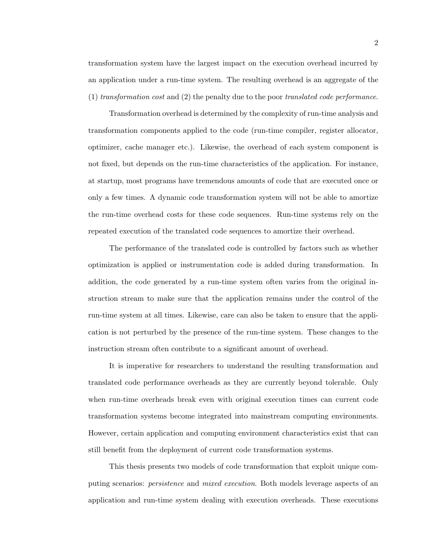transformation system have the largest impact on the execution overhead incurred by an application under a run-time system. The resulting overhead is an aggregate of the  $(1)$  transformation cost and  $(2)$  the penalty due to the poor translated code performance.

Transformation overhead is determined by the complexity of run-time analysis and transformation components applied to the code (run-time compiler, register allocator, optimizer, cache manager etc.). Likewise, the overhead of each system component is not fixed, but depends on the run-time characteristics of the application. For instance, at startup, most programs have tremendous amounts of code that are executed once or only a few times. A dynamic code transformation system will not be able to amortize the run-time overhead costs for these code sequences. Run-time systems rely on the repeated execution of the translated code sequences to amortize their overhead.

The performance of the translated code is controlled by factors such as whether optimization is applied or instrumentation code is added during transformation. In addition, the code generated by a run-time system often varies from the original instruction stream to make sure that the application remains under the control of the run-time system at all times. Likewise, care can also be taken to ensure that the application is not perturbed by the presence of the run-time system. These changes to the instruction stream often contribute to a significant amount of overhead.

It is imperative for researchers to understand the resulting transformation and translated code performance overheads as they are currently beyond tolerable. Only when run-time overheads break even with original execution times can current code transformation systems become integrated into mainstream computing environments. However, certain application and computing environment characteristics exist that can still benefit from the deployment of current code transformation systems.

This thesis presents two models of code transformation that exploit unique computing scenarios: persistence and mixed execution. Both models leverage aspects of an application and run-time system dealing with execution overheads. These executions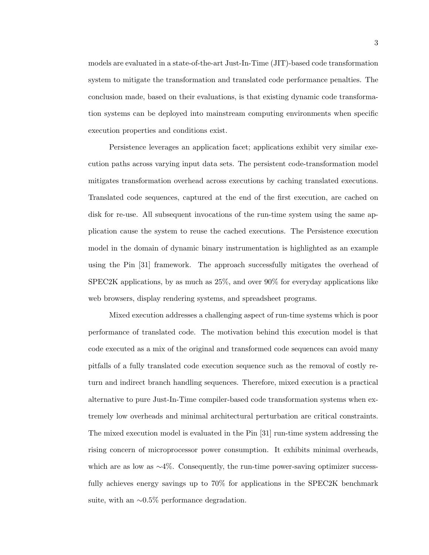models are evaluated in a state-of-the-art Just-In-Time (JIT)-based code transformation system to mitigate the transformation and translated code performance penalties. The conclusion made, based on their evaluations, is that existing dynamic code transformation systems can be deployed into mainstream computing environments when specific execution properties and conditions exist.

Persistence leverages an application facet; applications exhibit very similar execution paths across varying input data sets. The persistent code-transformation model mitigates transformation overhead across executions by caching translated executions. Translated code sequences, captured at the end of the first execution, are cached on disk for re-use. All subsequent invocations of the run-time system using the same application cause the system to reuse the cached executions. The Persistence execution model in the domain of dynamic binary instrumentation is highlighted as an example using the Pin [31] framework. The approach successfully mitigates the overhead of SPEC2K applications, by as much as 25%, and over 90% for everyday applications like web browsers, display rendering systems, and spreadsheet programs.

Mixed execution addresses a challenging aspect of run-time systems which is poor performance of translated code. The motivation behind this execution model is that code executed as a mix of the original and transformed code sequences can avoid many pitfalls of a fully translated code execution sequence such as the removal of costly return and indirect branch handling sequences. Therefore, mixed execution is a practical alternative to pure Just-In-Time compiler-based code transformation systems when extremely low overheads and minimal architectural perturbation are critical constraints. The mixed execution model is evaluated in the Pin [31] run-time system addressing the rising concern of microprocessor power consumption. It exhibits minimal overheads, which are as low as  $\sim$ 4%. Consequently, the run-time power-saving optimizer successfully achieves energy savings up to 70% for applications in the SPEC2K benchmark suite, with an ∼0.5% performance degradation.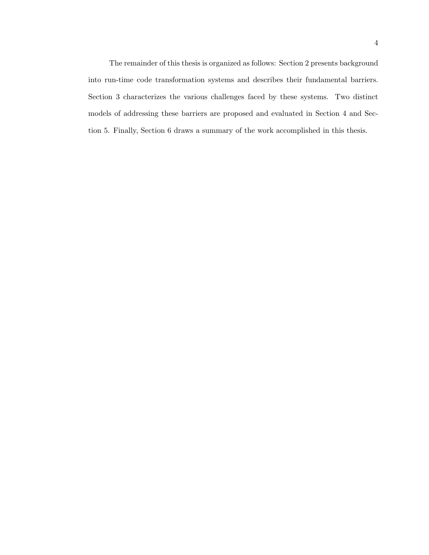The remainder of this thesis is organized as follows: Section 2 presents background into run-time code transformation systems and describes their fundamental barriers. Section 3 characterizes the various challenges faced by these systems. Two distinct models of addressing these barriers are proposed and evaluated in Section 4 and Section 5. Finally, Section 6 draws a summary of the work accomplished in this thesis.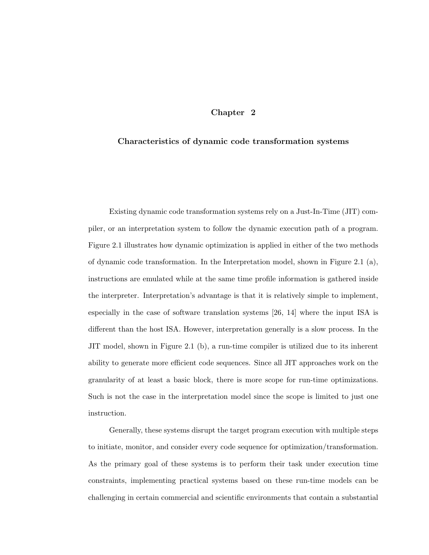## Chapter 2

#### Characteristics of dynamic code transformation systems

Existing dynamic code transformation systems rely on a Just-In-Time (JIT) compiler, or an interpretation system to follow the dynamic execution path of a program. Figure 2.1 illustrates how dynamic optimization is applied in either of the two methods of dynamic code transformation. In the Interpretation model, shown in Figure 2.1 (a), instructions are emulated while at the same time profile information is gathered inside the interpreter. Interpretation's advantage is that it is relatively simple to implement, especially in the case of software translation systems [26, 14] where the input ISA is different than the host ISA. However, interpretation generally is a slow process. In the JIT model, shown in Figure 2.1 (b), a run-time compiler is utilized due to its inherent ability to generate more efficient code sequences. Since all JIT approaches work on the granularity of at least a basic block, there is more scope for run-time optimizations. Such is not the case in the interpretation model since the scope is limited to just one instruction.

Generally, these systems disrupt the target program execution with multiple steps to initiate, monitor, and consider every code sequence for optimization/transformation. As the primary goal of these systems is to perform their task under execution time constraints, implementing practical systems based on these run-time models can be challenging in certain commercial and scientific environments that contain a substantial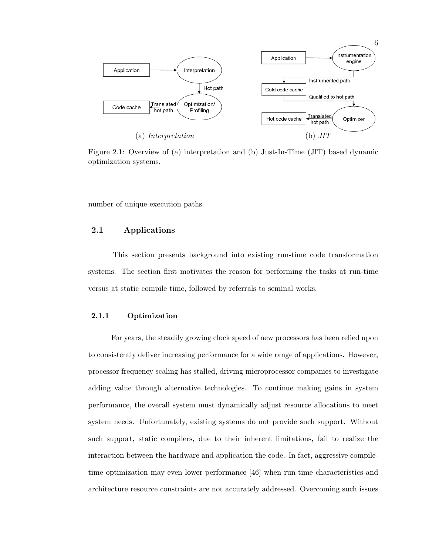

Figure 2.1: Overview of (a) interpretation and (b) Just-In-Time (JIT) based dynamic optimization systems.

number of unique execution paths.

## 2.1 Applications

This section presents background into existing run-time code transformation systems. The section first motivates the reason for performing the tasks at run-time versus at static compile time, followed by referrals to seminal works.

#### 2.1.1 Optimization

For years, the steadily growing clock speed of new processors has been relied upon to consistently deliver increasing performance for a wide range of applications. However, processor frequency scaling has stalled, driving microprocessor companies to investigate adding value through alternative technologies. To continue making gains in system performance, the overall system must dynamically adjust resource allocations to meet system needs. Unfortunately, existing systems do not provide such support. Without such support, static compilers, due to their inherent limitations, fail to realize the interaction between the hardware and application the code. In fact, aggressive compiletime optimization may even lower performance [46] when run-time characteristics and architecture resource constraints are not accurately addressed. Overcoming such issues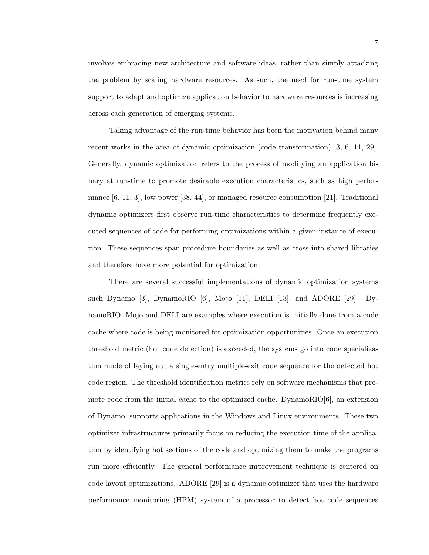involves embracing new architecture and software ideas, rather than simply attacking the problem by scaling hardware resources. As such, the need for run-time system support to adapt and optimize application behavior to hardware resources is increasing across each generation of emerging systems.

Taking advantage of the run-time behavior has been the motivation behind many recent works in the area of dynamic optimization (code transformation) [3, 6, 11, 29]. Generally, dynamic optimization refers to the process of modifying an application binary at run-time to promote desirable execution characteristics, such as high performance [6, 11, 3], low power [38, 44], or managed resource consumption [21]. Traditional dynamic optimizers first observe run-time characteristics to determine frequently executed sequences of code for performing optimizations within a given instance of execution. These sequences span procedure boundaries as well as cross into shared libraries and therefore have more potential for optimization.

There are several successful implementations of dynamic optimization systems such Dynamo [3], DynamoRIO [6], Mojo [11], DELI [13], and ADORE [29]. DynamoRIO, Mojo and DELI are examples where execution is initially done from a code cache where code is being monitored for optimization opportunities. Once an execution threshold metric (hot code detection) is exceeded, the systems go into code specialization mode of laying out a single-entry multiple-exit code sequence for the detected hot code region. The threshold identification metrics rely on software mechanisms that promote code from the initial cache to the optimized cache. DynamoRIO $[6]$ , an extension of Dynamo, supports applications in the Windows and Linux environments. These two optimizer infrastructures primarily focus on reducing the execution time of the application by identifying hot sections of the code and optimizing them to make the programs run more efficiently. The general performance improvement technique is centered on code layout optimizations. ADORE [29] is a dynamic optimizer that uses the hardware performance monitoring (HPM) system of a processor to detect hot code sequences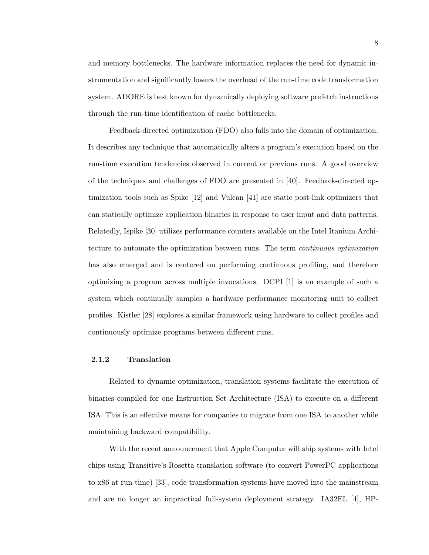and memory bottlenecks. The hardware information replaces the need for dynamic instrumentation and significantly lowers the overhead of the run-time code transformation system. ADORE is best known for dynamically deploying software prefetch instructions through the run-time identification of cache bottlenecks.

Feedback-directed optimization (FDO) also falls into the domain of optimization. It describes any technique that automatically alters a program's execution based on the run-time execution tendencies observed in current or previous runs. A good overview of the techniques and challenges of FDO are presented in [40]. Feedback-directed optimization tools such as Spike [12] and Vulcan [41] are static post-link optimizers that can statically optimize application binaries in response to user input and data patterns. Relatedly, Ispike [30] utilizes performance counters available on the Intel Itanium Architecture to automate the optimization between runs. The term continuous optimization has also emerged and is centered on performing continuous profiling, and therefore optimizing a program across multiple invocations. DCPI [1] is an example of such a system which continually samples a hardware performance monitoring unit to collect profiles. Kistler [28] explores a similar framework using hardware to collect profiles and continuously optimize programs between different runs.

#### 2.1.2 Translation

Related to dynamic optimization, translation systems facilitate the execution of binaries compiled for one Instruction Set Architecture (ISA) to execute on a different ISA. This is an effective means for companies to migrate from one ISA to another while maintaining backward compatibility.

With the recent announcement that Apple Computer will ship systems with Intel chips using Transitive's Rosetta translation software (to convert PowerPC applications to x86 at run-time) [33], code transformation systems have moved into the mainstream and are no longer an impractical full-system deployment strategy. IA32EL [4], HP-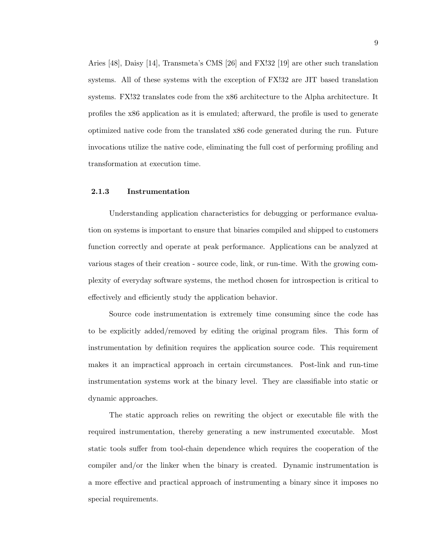Aries [48], Daisy [14], Transmeta's CMS [26] and FX!32 [19] are other such translation systems. All of these systems with the exception of FX!32 are JIT based translation systems. FX!32 translates code from the x86 architecture to the Alpha architecture. It profiles the x86 application as it is emulated; afterward, the profile is used to generate optimized native code from the translated x86 code generated during the run. Future invocations utilize the native code, eliminating the full cost of performing profiling and transformation at execution time.

#### 2.1.3 Instrumentation

Understanding application characteristics for debugging or performance evaluation on systems is important to ensure that binaries compiled and shipped to customers function correctly and operate at peak performance. Applications can be analyzed at various stages of their creation - source code, link, or run-time. With the growing complexity of everyday software systems, the method chosen for introspection is critical to effectively and efficiently study the application behavior.

Source code instrumentation is extremely time consuming since the code has to be explicitly added/removed by editing the original program files. This form of instrumentation by definition requires the application source code. This requirement makes it an impractical approach in certain circumstances. Post-link and run-time instrumentation systems work at the binary level. They are classifiable into static or dynamic approaches.

The static approach relies on rewriting the object or executable file with the required instrumentation, thereby generating a new instrumented executable. Most static tools suffer from tool-chain dependence which requires the cooperation of the compiler and/or the linker when the binary is created. Dynamic instrumentation is a more effective and practical approach of instrumenting a binary since it imposes no special requirements.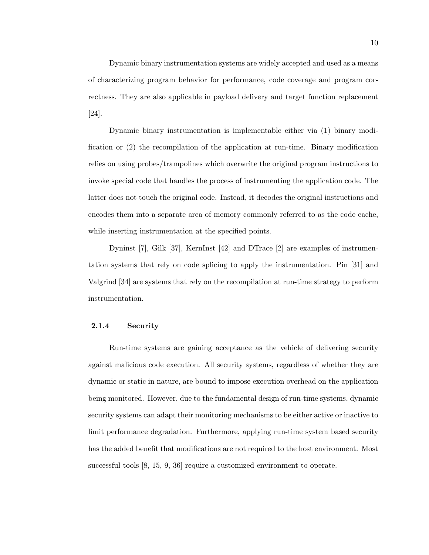Dynamic binary instrumentation systems are widely accepted and used as a means of characterizing program behavior for performance, code coverage and program correctness. They are also applicable in payload delivery and target function replacement [24].

Dynamic binary instrumentation is implementable either via (1) binary modification or (2) the recompilation of the application at run-time. Binary modification relies on using probes/trampolines which overwrite the original program instructions to invoke special code that handles the process of instrumenting the application code. The latter does not touch the original code. Instead, it decodes the original instructions and encodes them into a separate area of memory commonly referred to as the code cache, while inserting instrumentation at the specified points.

Dyninst [7], Gilk [37], KernInst [42] and DTrace [2] are examples of instrumentation systems that rely on code splicing to apply the instrumentation. Pin [31] and Valgrind [34] are systems that rely on the recompilation at run-time strategy to perform instrumentation.

#### 2.1.4 Security

Run-time systems are gaining acceptance as the vehicle of delivering security against malicious code execution. All security systems, regardless of whether they are dynamic or static in nature, are bound to impose execution overhead on the application being monitored. However, due to the fundamental design of run-time systems, dynamic security systems can adapt their monitoring mechanisms to be either active or inactive to limit performance degradation. Furthermore, applying run-time system based security has the added benefit that modifications are not required to the host environment. Most successful tools [8, 15, 9, 36] require a customized environment to operate.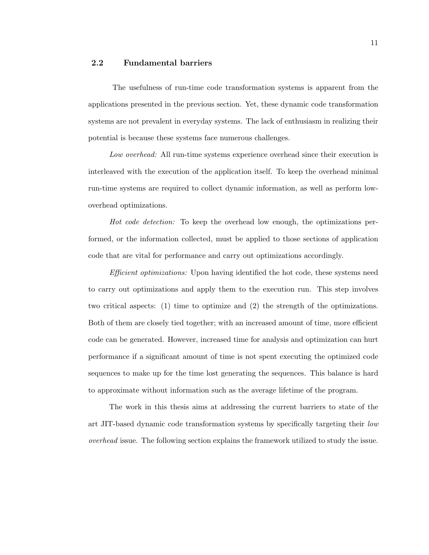#### 2.2 Fundamental barriers

The usefulness of run-time code transformation systems is apparent from the applications presented in the previous section. Yet, these dynamic code transformation systems are not prevalent in everyday systems. The lack of enthusiasm in realizing their potential is because these systems face numerous challenges.

Low overhead: All run-time systems experience overhead since their execution is interleaved with the execution of the application itself. To keep the overhead minimal run-time systems are required to collect dynamic information, as well as perform lowoverhead optimizations.

Hot code detection: To keep the overhead low enough, the optimizations performed, or the information collected, must be applied to those sections of application code that are vital for performance and carry out optimizations accordingly.

Efficient optimizations: Upon having identified the hot code, these systems need to carry out optimizations and apply them to the execution run. This step involves two critical aspects: (1) time to optimize and (2) the strength of the optimizations. Both of them are closely tied together; with an increased amount of time, more efficient code can be generated. However, increased time for analysis and optimization can hurt performance if a significant amount of time is not spent executing the optimized code sequences to make up for the time lost generating the sequences. This balance is hard to approximate without information such as the average lifetime of the program.

The work in this thesis aims at addressing the current barriers to state of the art JIT-based dynamic code transformation systems by specifically targeting their low overhead issue. The following section explains the framework utilized to study the issue.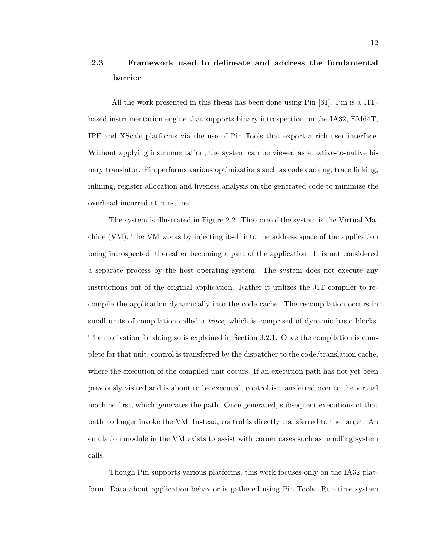# 2.3 Framework used to delineate and address the fundamental barrier

All the work presented in this thesis has been done using Pin [31]. Pin is a JITbased instrumentation engine that supports binary introspection on the IA32, EM64T, IPF and XScale platforms via the use of Pin Tools that export a rich user interface. Without applying instrumentation, the system can be viewed as a native-to-native binary translator. Pin performs various optimizations such as code caching, trace linking, inlining, register allocation and liveness analysis on the generated code to minimize the overhead incurred at run-time.

The system is illustrated in Figure 2.2. The core of the system is the Virtual Machine (VM). The VM works by injecting itself into the address space of the application being introspected, thereafter becoming a part of the application. It is not considered a separate process by the host operating system. The system does not execute any instructions out of the original application. Rather it utilizes the JIT compiler to recompile the application dynamically into the code cache. The recompilation occurs in small units of compilation called a *trace*, which is comprised of dynamic basic blocks. The motivation for doing so is explained in Section 3.2.1. Once the compilation is complete for that unit, control is transferred by the dispatcher to the code/translation cache, where the execution of the compiled unit occurs. If an execution path has not yet been previously visited and is about to be executed, control is transferred over to the virtual machine first, which generates the path. Once generated, subsequent executions of that path no longer invoke the VM. Instead, control is directly transferred to the target. An emulation module in the VM exists to assist with corner cases such as handling system calls.

Though Pin supports various platforms, this work focuses only on the IA32 platform. Data about application behavior is gathered using Pin Tools. Run-time system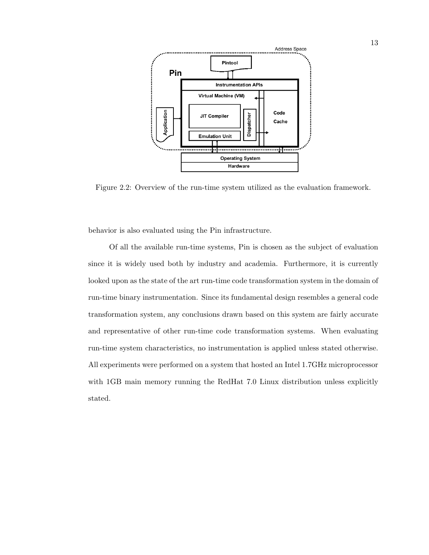

Figure 2.2: Overview of the run-time system utilized as the evaluation framework.

behavior is also evaluated using the Pin infrastructure.

Of all the available run-time systems, Pin is chosen as the subject of evaluation since it is widely used both by industry and academia. Furthermore, it is currently looked upon as the state of the art run-time code transformation system in the domain of run-time binary instrumentation. Since its fundamental design resembles a general code transformation system, any conclusions drawn based on this system are fairly accurate and representative of other run-time code transformation systems. When evaluating run-time system characteristics, no instrumentation is applied unless stated otherwise. All experiments were performed on a system that hosted an Intel 1.7GHz microprocessor with 1GB main memory running the RedHat 7.0 Linux distribution unless explicitly stated.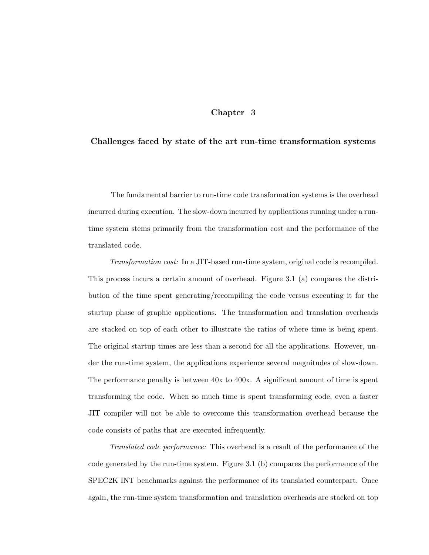#### Chapter 3

#### Challenges faced by state of the art run-time transformation systems

The fundamental barrier to run-time code transformation systems is the overhead incurred during execution. The slow-down incurred by applications running under a runtime system stems primarily from the transformation cost and the performance of the translated code.

Transformation cost: In a JIT-based run-time system, original code is recompiled. This process incurs a certain amount of overhead. Figure 3.1 (a) compares the distribution of the time spent generating/recompiling the code versus executing it for the startup phase of graphic applications. The transformation and translation overheads are stacked on top of each other to illustrate the ratios of where time is being spent. The original startup times are less than a second for all the applications. However, under the run-time system, the applications experience several magnitudes of slow-down. The performance penalty is between 40x to 400x. A significant amount of time is spent transforming the code. When so much time is spent transforming code, even a faster JIT compiler will not be able to overcome this transformation overhead because the code consists of paths that are executed infrequently.

Translated code performance: This overhead is a result of the performance of the code generated by the run-time system. Figure 3.1 (b) compares the performance of the SPEC2K INT benchmarks against the performance of its translated counterpart. Once again, the run-time system transformation and translation overheads are stacked on top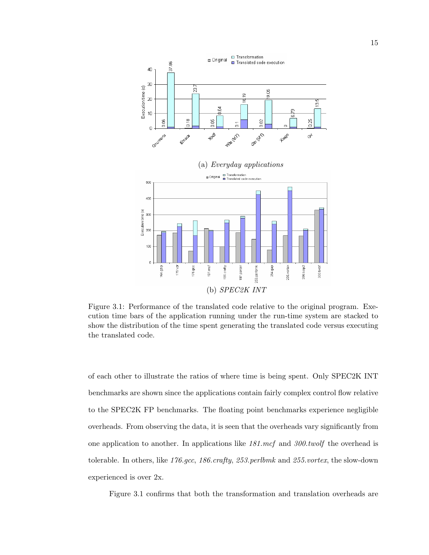

Figure 3.1: Performance of the translated code relative to the original program. Execution time bars of the application running under the run-time system are stacked to show the distribution of the time spent generating the translated code versus executing the translated code.

of each other to illustrate the ratios of where time is being spent. Only SPEC2K INT benchmarks are shown since the applications contain fairly complex control flow relative to the SPEC2K FP benchmarks. The floating point benchmarks experience negligible overheads. From observing the data, it is seen that the overheads vary significantly from one application to another. In applications like  $181 \text{.mcf}$  and  $300 \text{.} \text{two} \text{.}$  the overhead is tolerable. In others, like 176.gcc, 186.crafty, 253.perlbmk and 255.vortex, the slow-down experienced is over 2x.

Figure 3.1 confirms that both the transformation and translation overheads are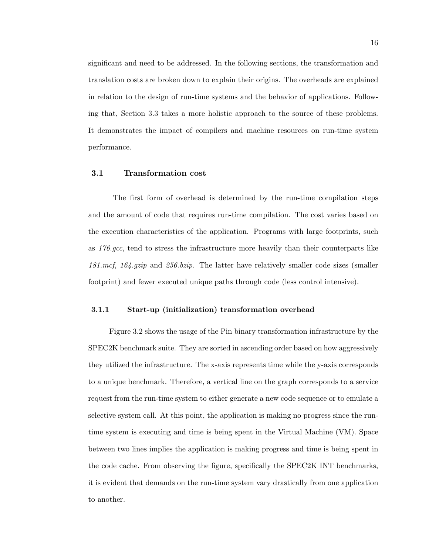significant and need to be addressed. In the following sections, the transformation and translation costs are broken down to explain their origins. The overheads are explained in relation to the design of run-time systems and the behavior of applications. Following that, Section 3.3 takes a more holistic approach to the source of these problems. It demonstrates the impact of compilers and machine resources on run-time system performance.

#### 3.1 Transformation cost

The first form of overhead is determined by the run-time compilation steps and the amount of code that requires run-time compilation. The cost varies based on the execution characteristics of the application. Programs with large footprints, such as 176.gcc, tend to stress the infrastructure more heavily than their counterparts like 181.mcf, 164.gzip and 256.bzip. The latter have relatively smaller code sizes (smaller footprint) and fewer executed unique paths through code (less control intensive).

#### 3.1.1 Start-up (initialization) transformation overhead

Figure 3.2 shows the usage of the Pin binary transformation infrastructure by the SPEC2K benchmark suite. They are sorted in ascending order based on how aggressively they utilized the infrastructure. The x-axis represents time while the y-axis corresponds to a unique benchmark. Therefore, a vertical line on the graph corresponds to a service request from the run-time system to either generate a new code sequence or to emulate a selective system call. At this point, the application is making no progress since the runtime system is executing and time is being spent in the Virtual Machine (VM). Space between two lines implies the application is making progress and time is being spent in the code cache. From observing the figure, specifically the SPEC2K INT benchmarks, it is evident that demands on the run-time system vary drastically from one application to another.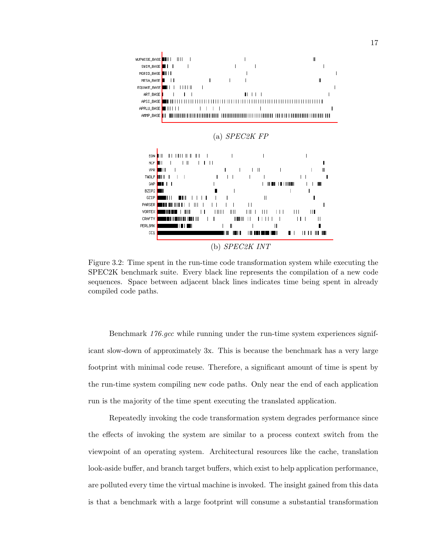

Figure 3.2: Time spent in the run-time code transformation system while executing the SPEC2K benchmark suite. Every black line represents the compilation of a new code sequences. Space between adjacent black lines indicates time being spent in already compiled code paths.

Benchmark 176.gcc while running under the run-time system experiences significant slow-down of approximately 3x. This is because the benchmark has a very large footprint with minimal code reuse. Therefore, a significant amount of time is spent by the run-time system compiling new code paths. Only near the end of each application run is the majority of the time spent executing the translated application.

Repeatedly invoking the code transformation system degrades performance since the effects of invoking the system are similar to a process context switch from the viewpoint of an operating system. Architectural resources like the cache, translation look-aside buffer, and branch target buffers, which exist to help application performance, are polluted every time the virtual machine is invoked. The insight gained from this data is that a benchmark with a large footprint will consume a substantial transformation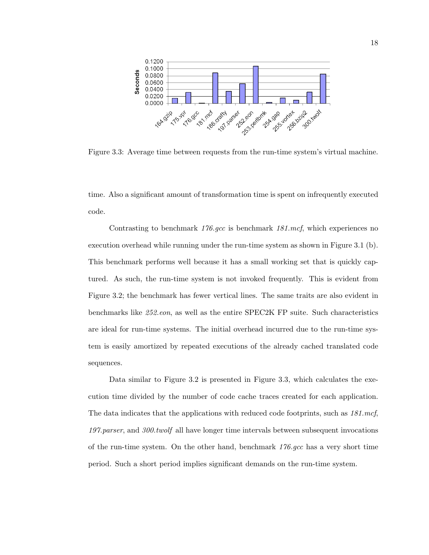

Figure 3.3: Average time between requests from the run-time system's virtual machine.

time. Also a significant amount of transformation time is spent on infrequently executed code.

Contrasting to benchmark 176.gcc is benchmark 181.mcf, which experiences no execution overhead while running under the run-time system as shown in Figure 3.1 (b). This benchmark performs well because it has a small working set that is quickly captured. As such, the run-time system is not invoked frequently. This is evident from Figure 3.2; the benchmark has fewer vertical lines. The same traits are also evident in benchmarks like 252.eon, as well as the entire SPEC2K FP suite. Such characteristics are ideal for run-time systems. The initial overhead incurred due to the run-time system is easily amortized by repeated executions of the already cached translated code sequences.

Data similar to Figure 3.2 is presented in Figure 3.3, which calculates the execution time divided by the number of code cache traces created for each application. The data indicates that the applications with reduced code footprints, such as  $181$ .mcf, 197.parser, and 300.twolf all have longer time intervals between subsequent invocations of the run-time system. On the other hand, benchmark  $176 \text{ gcc}$  has a very short time period. Such a short period implies significant demands on the run-time system.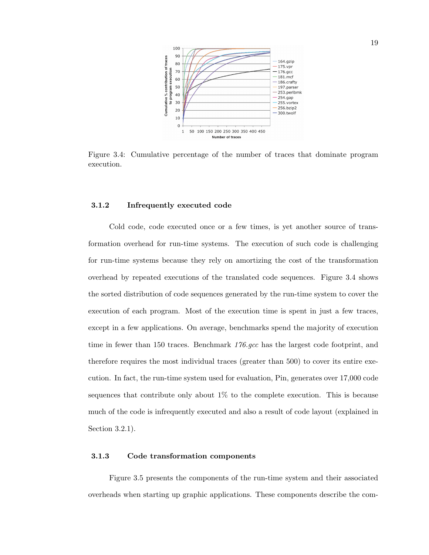

Figure 3.4: Cumulative percentage of the number of traces that dominate program execution.

#### 3.1.2 Infrequently executed code

Cold code, code executed once or a few times, is yet another source of transformation overhead for run-time systems. The execution of such code is challenging for run-time systems because they rely on amortizing the cost of the transformation overhead by repeated executions of the translated code sequences. Figure 3.4 shows the sorted distribution of code sequences generated by the run-time system to cover the execution of each program. Most of the execution time is spent in just a few traces, except in a few applications. On average, benchmarks spend the majority of execution time in fewer than 150 traces. Benchmark 176.gcc has the largest code footprint, and therefore requires the most individual traces (greater than 500) to cover its entire execution. In fact, the run-time system used for evaluation, Pin, generates over 17,000 code sequences that contribute only about  $1\%$  to the complete execution. This is because much of the code is infrequently executed and also a result of code layout (explained in Section 3.2.1).

#### 3.1.3 Code transformation components

Figure 3.5 presents the components of the run-time system and their associated overheads when starting up graphic applications. These components describe the com-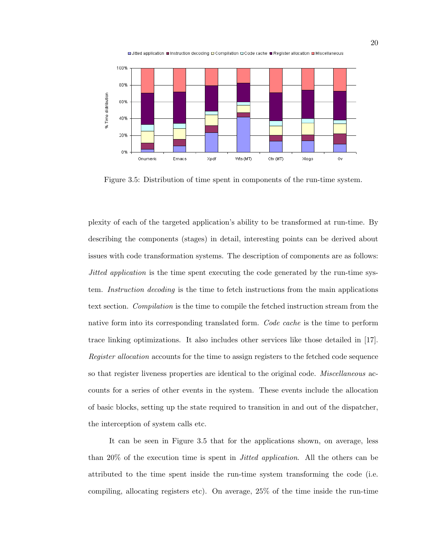



Figure 3.5: Distribution of time spent in components of the run-time system.

plexity of each of the targeted application's ability to be transformed at run-time. By describing the components (stages) in detail, interesting points can be derived about issues with code transformation systems. The description of components are as follows: Jitted application is the time spent executing the code generated by the run-time system. Instruction decoding is the time to fetch instructions from the main applications text section. Compilation is the time to compile the fetched instruction stream from the native form into its corresponding translated form. Code cache is the time to perform trace linking optimizations. It also includes other services like those detailed in [17]. Register allocation accounts for the time to assign registers to the fetched code sequence so that register liveness properties are identical to the original code. *Miscellaneous* accounts for a series of other events in the system. These events include the allocation of basic blocks, setting up the state required to transition in and out of the dispatcher, the interception of system calls etc.

It can be seen in Figure 3.5 that for the applications shown, on average, less than 20% of the execution time is spent in Jitted application. All the others can be attributed to the time spent inside the run-time system transforming the code (i.e. compiling, allocating registers etc). On average, 25% of the time inside the run-time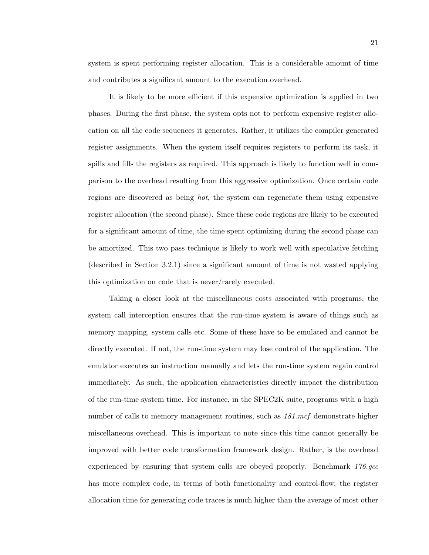It is likely to be more efficient if this expensive optimization is applied in two phases. During the first phase, the system opts not to perform expensive register allocation on all the code sequences it generates. Rather, it utilizes the compiler generated register assignments. When the system itself requires registers to perform its task, it spills and fills the registers as required. This approach is likely to function well in comparison to the overhead resulting from this aggressive optimization. Once certain code regions are discovered as being hot, the system can regenerate them using expensive register allocation (the second phase). Since these code regions are likely to be executed for a significant amount of time, the time spent optimizing during the second phase can be amortized. This two pass technique is likely to work well with speculative fetching (described in Section 3.2.1) since a significant amount of time is not wasted applying this optimization on code that is never/rarely executed.

and contributes a significant amount to the execution overhead.

Taking a closer look at the miscellaneous costs associated with programs, the system call interception ensures that the run-time system is aware of things such as memory mapping, system calls etc. Some of these have to be emulated and cannot be directly executed. If not, the run-time system may lose control of the application. The emulator executes an instruction manually and lets the run-time system regain control immediately. As such, the application characteristics directly impact the distribution of the run-time system time. For instance, in the SPEC2K suite, programs with a high number of calls to memory management routines, such as  $181$ .mcf demonstrate higher miscellaneous overhead. This is important to note since this time cannot generally be improved with better code transformation framework design. Rather, is the overhead experienced by ensuring that system calls are obeyed properly. Benchmark 176.gcc has more complex code, in terms of both functionality and control-flow; the register allocation time for generating code traces is much higher than the average of most other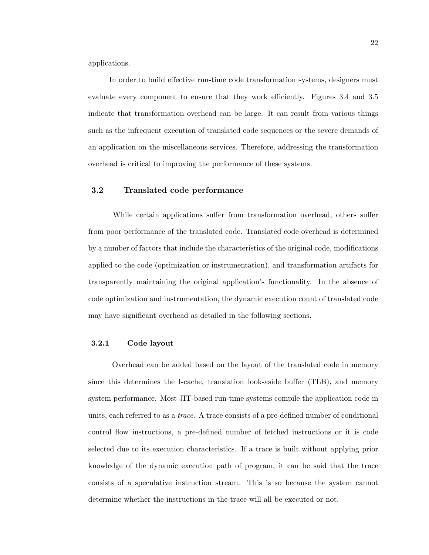applications.

In order to build effective run-time code transformation systems, designers must evaluate every component to ensure that they work efficiently. Figures 3.4 and 3.5 indicate that transformation overhead can be large. It can result from various things such as the infrequent execution of translated code sequences or the severe demands of an application on the miscellaneous services. Therefore, addressing the transformation overhead is critical to improving the performance of these systems.

### 3.2 Translated code performance

While certain applications suffer from transformation overhead, others suffer from poor performance of the translated code. Translated code overhead is determined by a number of factors that include the characteristics of the original code, modifications applied to the code (optimization or instrumentation), and transformation artifacts for transparently maintaining the original application's functionality. In the absence of code optimization and instrumentation, the dynamic execution count of translated code may have significant overhead as detailed in the following sections.

### 3.2.1 Code layout

Overhead can be added based on the layout of the translated code in memory since this determines the I-cache, translation look-aside buffer (TLB), and memory system performance. Most JIT-based run-time systems compile the application code in units, each referred to as a trace. A trace consists of a pre-defined number of conditional control flow instructions, a pre-defined number of fetched instructions or it is code selected due to its execution characteristics. If a trace is built without applying prior knowledge of the dynamic execution path of program, it can be said that the trace consists of a speculative instruction stream. This is so because the system cannot determine whether the instructions in the trace will all be executed or not.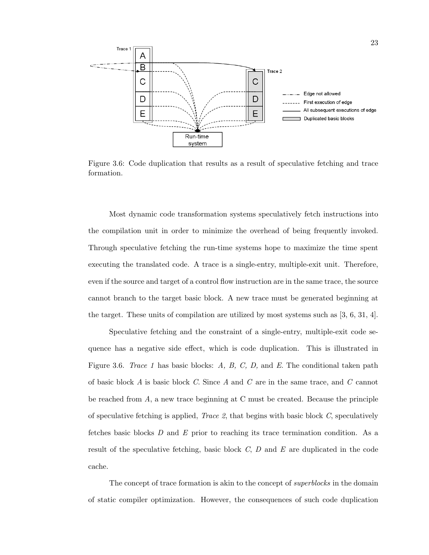

Figure 3.6: Code duplication that results as a result of speculative fetching and trace formation.

Most dynamic code transformation systems speculatively fetch instructions into the compilation unit in order to minimize the overhead of being frequently invoked. Through speculative fetching the run-time systems hope to maximize the time spent executing the translated code. A trace is a single-entry, multiple-exit unit. Therefore, even if the source and target of a control flow instruction are in the same trace, the source cannot branch to the target basic block. A new trace must be generated beginning at the target. These units of compilation are utilized by most systems such as [3, 6, 31, 4].

Speculative fetching and the constraint of a single-entry, multiple-exit code sequence has a negative side effect, which is code duplication. This is illustrated in Figure 3.6. Trace 1 has basic blocks: A, B, C, D, and E. The conditional taken path of basic block A is basic block C. Since A and C are in the same trace, and C cannot be reached from A, a new trace beginning at C must be created. Because the principle of speculative fetching is applied, *Trace 2*, that begins with basic block  $C$ , speculatively fetches basic blocks  $D$  and  $E$  prior to reaching its trace termination condition. As a result of the speculative fetching, basic block  $C, D$  and  $E$  are duplicated in the code cache.

The concept of trace formation is akin to the concept of *superblocks* in the domain of static compiler optimization. However, the consequences of such code duplication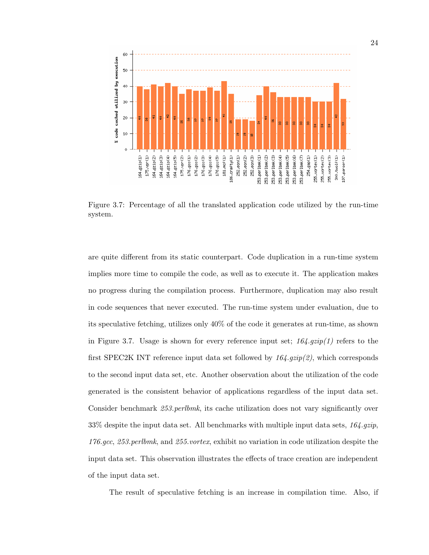

Figure 3.7: Percentage of all the translated application code utilized by the run-time system.

are quite different from its static counterpart. Code duplication in a run-time system implies more time to compile the code, as well as to execute it. The application makes no progress during the compilation process. Furthermore, duplication may also result in code sequences that never executed. The run-time system under evaluation, due to its speculative fetching, utilizes only 40% of the code it generates at run-time, as shown in Figure 3.7. Usage is shown for every reference input set;  $164. gzip(1)$  refers to the first SPEC2K INT reference input data set followed by  $164.$   $gzip(2)$ , which corresponds to the second input data set, etc. Another observation about the utilization of the code generated is the consistent behavior of applications regardless of the input data set. Consider benchmark 253.perlbmk, its cache utilization does not vary significantly over 33% despite the input data set. All benchmarks with multiple input data sets,  $164.gzip$ , 176.gcc, 253.perlbmk, and 255.vortex, exhibit no variation in code utilization despite the input data set. This observation illustrates the effects of trace creation are independent of the input data set.

The result of speculative fetching is an increase in compilation time. Also, if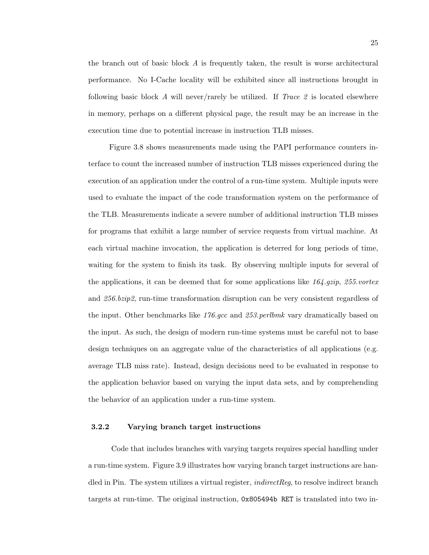the branch out of basic block  $A$  is frequently taken, the result is worse architectural performance. No I-Cache locality will be exhibited since all instructions brought in following basic block A will never/rarely be utilized. If Trace 2 is located elsewhere in memory, perhaps on a different physical page, the result may be an increase in the execution time due to potential increase in instruction TLB misses.

Figure 3.8 shows measurements made using the PAPI performance counters interface to count the increased number of instruction TLB misses experienced during the execution of an application under the control of a run-time system. Multiple inputs were used to evaluate the impact of the code transformation system on the performance of the TLB. Measurements indicate a severe number of additional instruction TLB misses for programs that exhibit a large number of service requests from virtual machine. At each virtual machine invocation, the application is deterred for long periods of time, waiting for the system to finish its task. By observing multiple inputs for several of the applications, it can be deemed that for some applications like  $164$  gzip,  $255$  vortex and 256.bzip2, run-time transformation disruption can be very consistent regardless of the input. Other benchmarks like  $176.$  gcc and  $253.$  perlbmk vary dramatically based on the input. As such, the design of modern run-time systems must be careful not to base design techniques on an aggregate value of the characteristics of all applications (e.g. average TLB miss rate). Instead, design decisions need to be evaluated in response to the application behavior based on varying the input data sets, and by comprehending the behavior of an application under a run-time system.

#### 3.2.2 Varying branch target instructions

Code that includes branches with varying targets requires special handling under a run-time system. Figure 3.9 illustrates how varying branch target instructions are handled in Pin. The system utilizes a virtual register, *indirectReg*, to resolve indirect branch targets at run-time. The original instruction, 0x805494b RET is translated into two in-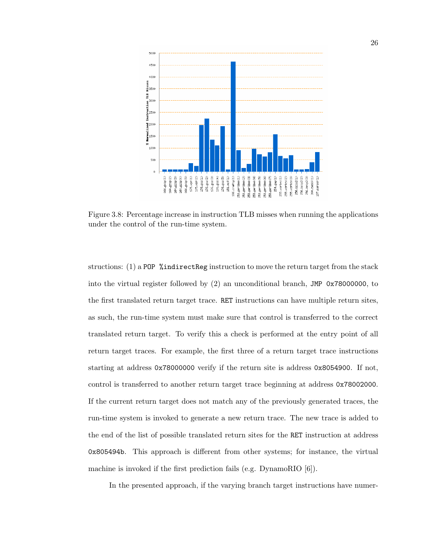

Figure 3.8: Percentage increase in instruction TLB misses when running the applications under the control of the run-time system.

structions:  $(1)$  a POP %indirectReg instruction to move the return target from the stack into the virtual register followed by (2) an unconditional branch, JMP 0x78000000, to the first translated return target trace. RET instructions can have multiple return sites, as such, the run-time system must make sure that control is transferred to the correct translated return target. To verify this a check is performed at the entry point of all return target traces. For example, the first three of a return target trace instructions starting at address 0x78000000 verify if the return site is address 0x8054900. If not, control is transferred to another return target trace beginning at address 0x78002000. If the current return target does not match any of the previously generated traces, the run-time system is invoked to generate a new return trace. The new trace is added to the end of the list of possible translated return sites for the RET instruction at address 0x805494b. This approach is different from other systems; for instance, the virtual machine is invoked if the first prediction fails (e.g. DynamoRIO [6]).

In the presented approach, if the varying branch target instructions have numer-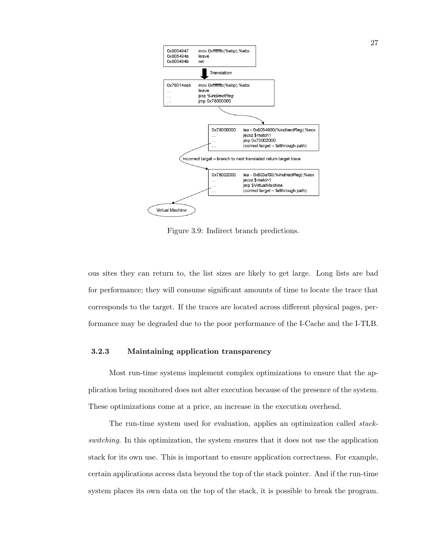

Figure 3.9: Indirect branch predictions.

ous sites they can return to, the list sizes are likely to get large. Long lists are bad for performance; they will consume significant amounts of time to locate the trace that corresponds to the target. If the traces are located across different physical pages, performance may be degraded due to the poor performance of the I-Cache and the I-TLB.

# 3.2.3 Maintaining application transparency

Most run-time systems implement complex optimizations to ensure that the application being monitored does not alter execution because of the presence of the system. These optimizations come at a price, an increase in the execution overhead.

The run-time system used for evaluation, applies an optimization called stackswitching. In this optimization, the system ensures that it does not use the application stack for its own use. This is important to ensure application correctness. For example, certain applications access data beyond the top of the stack pointer. And if the run-time system places its own data on the top of the stack, it is possible to break the program.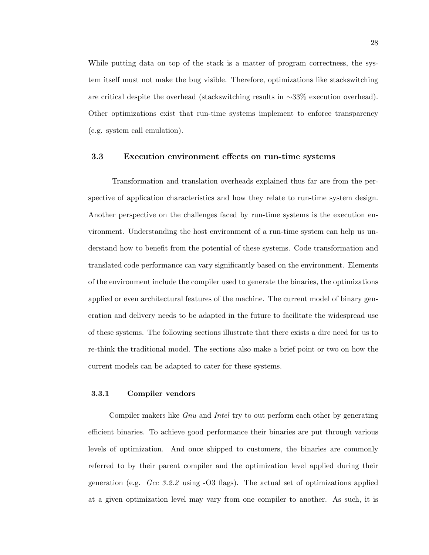While putting data on top of the stack is a matter of program correctness, the system itself must not make the bug visible. Therefore, optimizations like stackswitching are critical despite the overhead (stackswitching results in ∼33% execution overhead). Other optimizations exist that run-time systems implement to enforce transparency (e.g. system call emulation).

#### 3.3 Execution environment effects on run-time systems

Transformation and translation overheads explained thus far are from the perspective of application characteristics and how they relate to run-time system design. Another perspective on the challenges faced by run-time systems is the execution environment. Understanding the host environment of a run-time system can help us understand how to benefit from the potential of these systems. Code transformation and translated code performance can vary significantly based on the environment. Elements of the environment include the compiler used to generate the binaries, the optimizations applied or even architectural features of the machine. The current model of binary generation and delivery needs to be adapted in the future to facilitate the widespread use of these systems. The following sections illustrate that there exists a dire need for us to re-think the traditional model. The sections also make a brief point or two on how the current models can be adapted to cater for these systems.

#### 3.3.1 Compiler vendors

Compiler makers like Gnu and Intel try to out perform each other by generating efficient binaries. To achieve good performance their binaries are put through various levels of optimization. And once shipped to customers, the binaries are commonly referred to by their parent compiler and the optimization level applied during their generation (e.g.  $Gcc$  3.2.2 using  $-O3$  flags). The actual set of optimizations applied at a given optimization level may vary from one compiler to another. As such, it is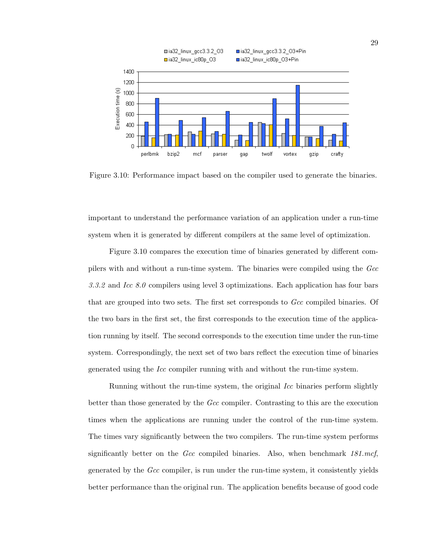

Figure 3.10: Performance impact based on the compiler used to generate the binaries.

important to understand the performance variation of an application under a run-time system when it is generated by different compilers at the same level of optimization.

Figure 3.10 compares the execution time of binaries generated by different compilers with and without a run-time system. The binaries were compiled using the Gcc 3.3.2 and Icc  $8.0$  compilers using level 3 optimizations. Each application has four bars that are grouped into two sets. The first set corresponds to Gcc compiled binaries. Of the two bars in the first set, the first corresponds to the execution time of the application running by itself. The second corresponds to the execution time under the run-time system. Correspondingly, the next set of two bars reflect the execution time of binaries generated using the Icc compiler running with and without the run-time system.

Running without the run-time system, the original Icc binaries perform slightly better than those generated by the Gcc compiler. Contrasting to this are the execution times when the applications are running under the control of the run-time system. The times vary significantly between the two compilers. The run-time system performs significantly better on the Gcc compiled binaries. Also, when benchmark  $181$ .mcf, generated by the Gcc compiler, is run under the run-time system, it consistently yields better performance than the original run. The application benefits because of good code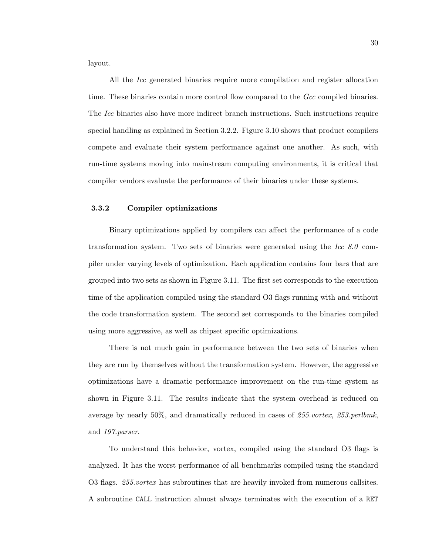layout.

All the Icc generated binaries require more compilation and register allocation time. These binaries contain more control flow compared to the Gcc compiled binaries. The Icc binaries also have more indirect branch instructions. Such instructions require special handling as explained in Section 3.2.2. Figure 3.10 shows that product compilers compete and evaluate their system performance against one another. As such, with run-time systems moving into mainstream computing environments, it is critical that compiler vendors evaluate the performance of their binaries under these systems.

# 3.3.2 Compiler optimizations

Binary optimizations applied by compilers can affect the performance of a code transformation system. Two sets of binaries were generated using the Icc  $8.0$  compiler under varying levels of optimization. Each application contains four bars that are grouped into two sets as shown in Figure 3.11. The first set corresponds to the execution time of the application compiled using the standard O3 flags running with and without the code transformation system. The second set corresponds to the binaries compiled using more aggressive, as well as chipset specific optimizations.

There is not much gain in performance between the two sets of binaries when they are run by themselves without the transformation system. However, the aggressive optimizations have a dramatic performance improvement on the run-time system as shown in Figure 3.11. The results indicate that the system overhead is reduced on average by nearly 50%, and dramatically reduced in cases of 255.vortex, 253.perlbmk, and 197.parser.

To understand this behavior, vortex, compiled using the standard O3 flags is analyzed. It has the worst performance of all benchmarks compiled using the standard O3 flags. 255.*vortex* has subroutines that are heavily invoked from numerous callsites. A subroutine CALL instruction almost always terminates with the execution of a RET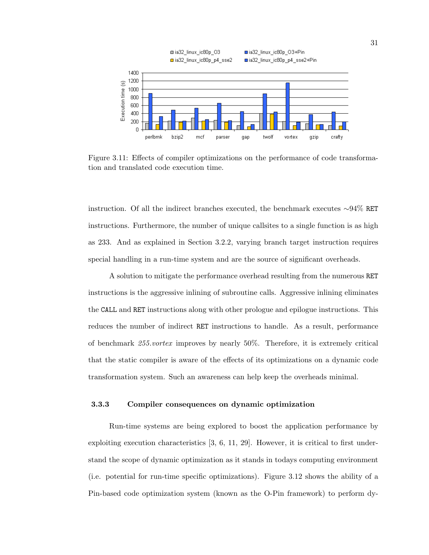

Figure 3.11: Effects of compiler optimizations on the performance of code transformation and translated code execution time.

instruction. Of all the indirect branches executed, the benchmark executes ∼94% RET instructions. Furthermore, the number of unique callsites to a single function is as high as 233. And as explained in Section 3.2.2, varying branch target instruction requires special handling in a run-time system and are the source of significant overheads.

A solution to mitigate the performance overhead resulting from the numerous RET instructions is the aggressive inlining of subroutine calls. Aggressive inlining eliminates the CALL and RET instructions along with other prologue and epilogue instructions. This reduces the number of indirect RET instructions to handle. As a result, performance of benchmark 255.vortex improves by nearly 50%. Therefore, it is extremely critical that the static compiler is aware of the effects of its optimizations on a dynamic code transformation system. Such an awareness can help keep the overheads minimal.

# 3.3.3 Compiler consequences on dynamic optimization

Run-time systems are being explored to boost the application performance by exploiting execution characteristics [3, 6, 11, 29]. However, it is critical to first understand the scope of dynamic optimization as it stands in todays computing environment (i.e. potential for run-time specific optimizations). Figure 3.12 shows the ability of a Pin-based code optimization system (known as the O-Pin framework) to perform dy-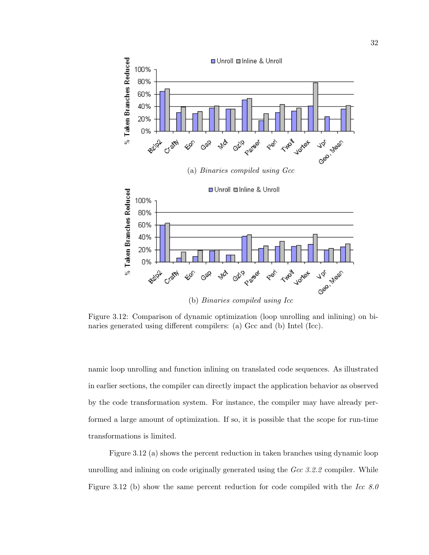

Figure 3.12: Comparison of dynamic optimization (loop unrolling and inlining) on binaries generated using different compilers: (a) Gcc and (b) Intel (Icc).

namic loop unrolling and function inlining on translated code sequences. As illustrated in earlier sections, the compiler can directly impact the application behavior as observed by the code transformation system. For instance, the compiler may have already performed a large amount of optimization. If so, it is possible that the scope for run-time transformations is limited.

Figure 3.12 (a) shows the percent reduction in taken branches using dynamic loop unrolling and inlining on code originally generated using the  $Gcc$  3.2.2 compiler. While Figure 3.12 (b) show the same percent reduction for code compiled with the Icc  $8.0$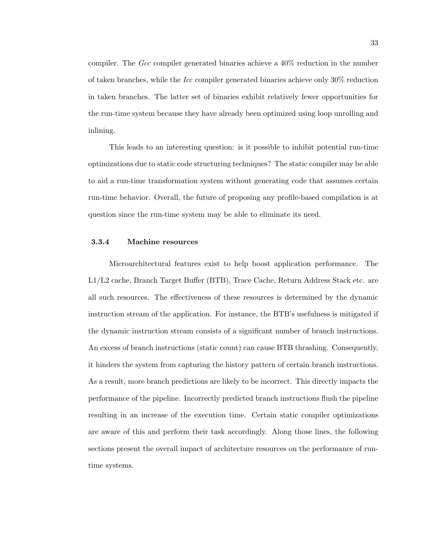compiler. The  $Gcc$  compiler generated binaries achieve a  $40\%$  reduction in the number of taken branches, while the Icc compiler generated binaries achieve only 30% reduction in taken branches. The latter set of binaries exhibit relatively fewer opportunities for the run-time system because they have already been optimized using loop unrolling and inlining.

This leads to an interesting question: is it possible to inhibit potential run-time optimizations due to static code structuring techniques? The static compiler may be able to aid a run-time transformation system without generating code that assumes certain run-time behavior. Overall, the future of proposing any profile-based compilation is at question since the run-time system may be able to eliminate its need.

## 3.3.4 Machine resources

Microarchitectural features exist to help boost application performance. The L1/L2 cache, Branch Target Buffer (BTB), Trace Cache, Return Address Stack etc. are all such resources. The effectiveness of these resources is determined by the dynamic instruction stream of the application. For instance, the BTB's usefulness is mitigated if the dynamic instruction stream consists of a significant number of branch instructions. An excess of branch instructions (static count) can cause BTB thrashing. Consequently, it hinders the system from capturing the history pattern of certain branch instructions. As a result, more branch predictions are likely to be incorrect. This directly impacts the performance of the pipeline. Incorrectly predicted branch instructions flush the pipeline resulting in an increase of the execution time. Certain static compiler optimizations are aware of this and perform their task accordingly. Along those lines, the following sections present the overall impact of architecture resources on the performance of runtime systems.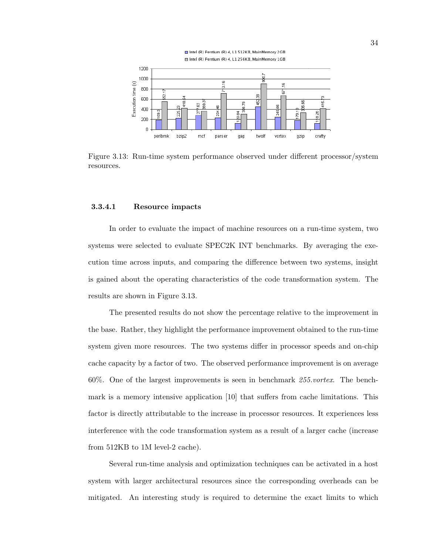

Figure 3.13: Run-time system performance observed under different processor/system resources.

#### 3.3.4.1 Resource impacts

In order to evaluate the impact of machine resources on a run-time system, two systems were selected to evaluate SPEC2K INT benchmarks. By averaging the execution time across inputs, and comparing the difference between two systems, insight is gained about the operating characteristics of the code transformation system. The results are shown in Figure 3.13.

The presented results do not show the percentage relative to the improvement in the base. Rather, they highlight the performance improvement obtained to the run-time system given more resources. The two systems differ in processor speeds and on-chip cache capacity by a factor of two. The observed performance improvement is on average 60%. One of the largest improvements is seen in benchmark 255.vortex. The benchmark is a memory intensive application [10] that suffers from cache limitations. This factor is directly attributable to the increase in processor resources. It experiences less interference with the code transformation system as a result of a larger cache (increase from 512KB to 1M level-2 cache).

Several run-time analysis and optimization techniques can be activated in a host system with larger architectural resources since the corresponding overheads can be mitigated. An interesting study is required to determine the exact limits to which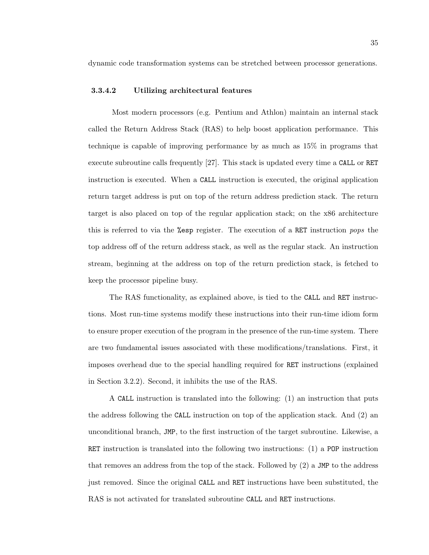dynamic code transformation systems can be stretched between processor generations.

#### 3.3.4.2 Utilizing architectural features

Most modern processors (e.g. Pentium and Athlon) maintain an internal stack called the Return Address Stack (RAS) to help boost application performance. This technique is capable of improving performance by as much as 15% in programs that execute subroutine calls frequently [27]. This stack is updated every time a CALL or RET instruction is executed. When a CALL instruction is executed, the original application return target address is put on top of the return address prediction stack. The return target is also placed on top of the regular application stack; on the x86 architecture this is referred to via the %esp register. The execution of a RET instruction pops the top address off of the return address stack, as well as the regular stack. An instruction stream, beginning at the address on top of the return prediction stack, is fetched to keep the processor pipeline busy.

The RAS functionality, as explained above, is tied to the CALL and RET instructions. Most run-time systems modify these instructions into their run-time idiom form to ensure proper execution of the program in the presence of the run-time system. There are two fundamental issues associated with these modifications/translations. First, it imposes overhead due to the special handling required for RET instructions (explained in Section 3.2.2). Second, it inhibits the use of the RAS.

A CALL instruction is translated into the following: (1) an instruction that puts the address following the CALL instruction on top of the application stack. And (2) an unconditional branch, JMP, to the first instruction of the target subroutine. Likewise, a RET instruction is translated into the following two instructions: (1) a POP instruction that removes an address from the top of the stack. Followed by  $(2)$  a JMP to the address just removed. Since the original CALL and RET instructions have been substituted, the RAS is not activated for translated subroutine CALL and RET instructions.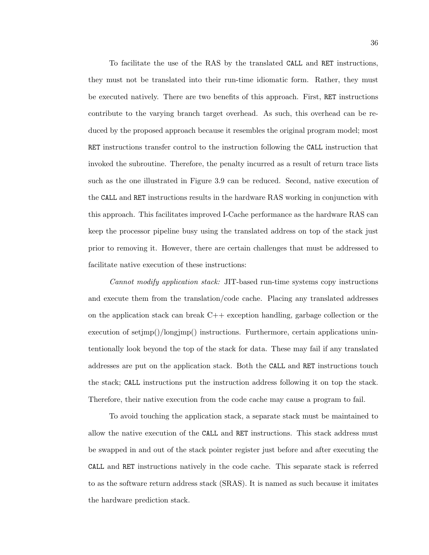To facilitate the use of the RAS by the translated CALL and RET instructions, they must not be translated into their run-time idiomatic form. Rather, they must be executed natively. There are two benefits of this approach. First, RET instructions contribute to the varying branch target overhead. As such, this overhead can be reduced by the proposed approach because it resembles the original program model; most RET instructions transfer control to the instruction following the CALL instruction that invoked the subroutine. Therefore, the penalty incurred as a result of return trace lists such as the one illustrated in Figure 3.9 can be reduced. Second, native execution of the CALL and RET instructions results in the hardware RAS working in conjunction with this approach. This facilitates improved I-Cache performance as the hardware RAS can keep the processor pipeline busy using the translated address on top of the stack just prior to removing it. However, there are certain challenges that must be addressed to facilitate native execution of these instructions:

Cannot modify application stack: JIT-based run-time systems copy instructions and execute them from the translation/code cache. Placing any translated addresses on the application stack can break C++ exception handling, garbage collection or the execution of setjmp()/longjmp() instructions. Furthermore, certain applications unintentionally look beyond the top of the stack for data. These may fail if any translated addresses are put on the application stack. Both the CALL and RET instructions touch the stack; CALL instructions put the instruction address following it on top the stack. Therefore, their native execution from the code cache may cause a program to fail.

To avoid touching the application stack, a separate stack must be maintained to allow the native execution of the CALL and RET instructions. This stack address must be swapped in and out of the stack pointer register just before and after executing the CALL and RET instructions natively in the code cache. This separate stack is referred to as the software return address stack (SRAS). It is named as such because it imitates the hardware prediction stack.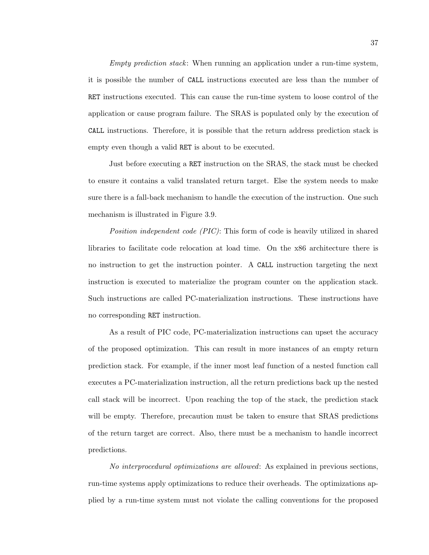Empty prediction stack: When running an application under a run-time system, it is possible the number of CALL instructions executed are less than the number of RET instructions executed. This can cause the run-time system to loose control of the application or cause program failure. The SRAS is populated only by the execution of CALL instructions. Therefore, it is possible that the return address prediction stack is empty even though a valid RET is about to be executed.

Just before executing a RET instruction on the SRAS, the stack must be checked to ensure it contains a valid translated return target. Else the system needs to make sure there is a fall-back mechanism to handle the execution of the instruction. One such mechanism is illustrated in Figure 3.9.

Position independent code (PIC): This form of code is heavily utilized in shared libraries to facilitate code relocation at load time. On the x86 architecture there is no instruction to get the instruction pointer. A CALL instruction targeting the next instruction is executed to materialize the program counter on the application stack. Such instructions are called PC-materialization instructions. These instructions have no corresponding RET instruction.

As a result of PIC code, PC-materialization instructions can upset the accuracy of the proposed optimization. This can result in more instances of an empty return prediction stack. For example, if the inner most leaf function of a nested function call executes a PC-materialization instruction, all the return predictions back up the nested call stack will be incorrect. Upon reaching the top of the stack, the prediction stack will be empty. Therefore, precaution must be taken to ensure that SRAS predictions of the return target are correct. Also, there must be a mechanism to handle incorrect predictions.

No interprocedural optimizations are allowed: As explained in previous sections, run-time systems apply optimizations to reduce their overheads. The optimizations applied by a run-time system must not violate the calling conventions for the proposed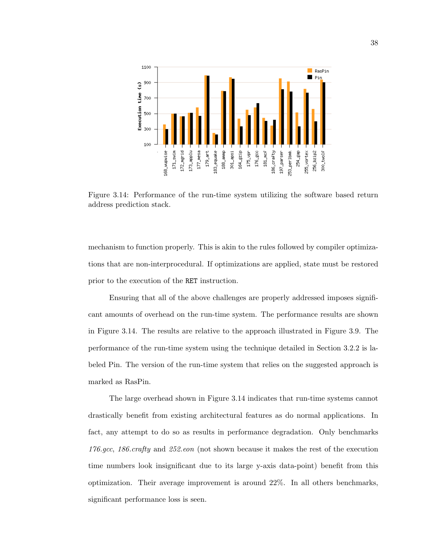

Figure 3.14: Performance of the run-time system utilizing the software based return address prediction stack.

mechanism to function properly. This is akin to the rules followed by compiler optimizations that are non-interprocedural. If optimizations are applied, state must be restored prior to the execution of the RET instruction.

Ensuring that all of the above challenges are properly addressed imposes significant amounts of overhead on the run-time system. The performance results are shown in Figure 3.14. The results are relative to the approach illustrated in Figure 3.9. The performance of the run-time system using the technique detailed in Section 3.2.2 is labeled Pin. The version of the run-time system that relies on the suggested approach is marked as RasPin.

The large overhead shown in Figure 3.14 indicates that run-time systems cannot drastically benefit from existing architectural features as do normal applications. In fact, any attempt to do so as results in performance degradation. Only benchmarks 176.gcc, 186.crafty and 252.eon (not shown because it makes the rest of the execution time numbers look insignificant due to its large y-axis data-point) benefit from this optimization. Their average improvement is around 22%. In all others benchmarks, significant performance loss is seen.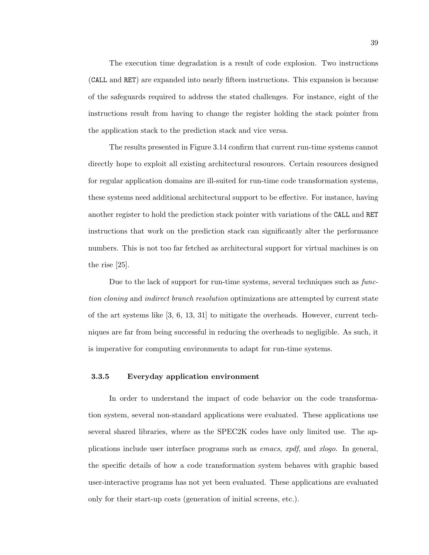The execution time degradation is a result of code explosion. Two instructions (CALL and RET) are expanded into nearly fifteen instructions. This expansion is because of the safeguards required to address the stated challenges. For instance, eight of the instructions result from having to change the register holding the stack pointer from the application stack to the prediction stack and vice versa.

The results presented in Figure 3.14 confirm that current run-time systems cannot directly hope to exploit all existing architectural resources. Certain resources designed for regular application domains are ill-suited for run-time code transformation systems, these systems need additional architectural support to be effective. For instance, having another register to hold the prediction stack pointer with variations of the CALL and RET instructions that work on the prediction stack can significantly alter the performance numbers. This is not too far fetched as architectural support for virtual machines is on the rise [25].

Due to the lack of support for run-time systems, several techniques such as function cloning and indirect branch resolution optimizations are attempted by current state of the art systems like [3, 6, 13, 31] to mitigate the overheads. However, current techniques are far from being successful in reducing the overheads to negligible. As such, it is imperative for computing environments to adapt for run-time systems.

# 3.3.5 Everyday application environment

In order to understand the impact of code behavior on the code transformation system, several non-standard applications were evaluated. These applications use several shared libraries, where as the SPEC2K codes have only limited use. The applications include user interface programs such as emacs, xpdf, and xlogo. In general, the specific details of how a code transformation system behaves with graphic based user-interactive programs has not yet been evaluated. These applications are evaluated only for their start-up costs (generation of initial screens, etc.).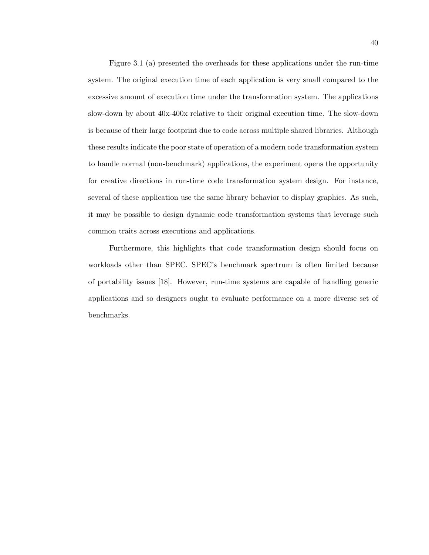Figure 3.1 (a) presented the overheads for these applications under the run-time system. The original execution time of each application is very small compared to the excessive amount of execution time under the transformation system. The applications slow-down by about 40x-400x relative to their original execution time. The slow-down is because of their large footprint due to code across multiple shared libraries. Although these results indicate the poor state of operation of a modern code transformation system to handle normal (non-benchmark) applications, the experiment opens the opportunity for creative directions in run-time code transformation system design. For instance, several of these application use the same library behavior to display graphics. As such, it may be possible to design dynamic code transformation systems that leverage such common traits across executions and applications.

Furthermore, this highlights that code transformation design should focus on workloads other than SPEC. SPEC's benchmark spectrum is often limited because of portability issues [18]. However, run-time systems are capable of handling generic applications and so designers ought to evaluate performance on a more diverse set of benchmarks.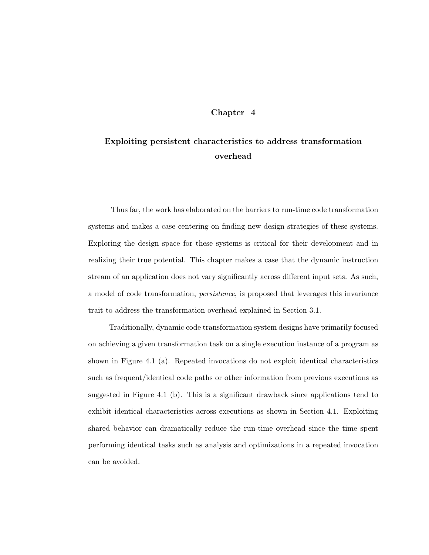# Chapter 4

# Exploiting persistent characteristics to address transformation overhead

Thus far, the work has elaborated on the barriers to run-time code transformation systems and makes a case centering on finding new design strategies of these systems. Exploring the design space for these systems is critical for their development and in realizing their true potential. This chapter makes a case that the dynamic instruction stream of an application does not vary significantly across different input sets. As such, a model of code transformation, persistence, is proposed that leverages this invariance trait to address the transformation overhead explained in Section 3.1.

Traditionally, dynamic code transformation system designs have primarily focused on achieving a given transformation task on a single execution instance of a program as shown in Figure 4.1 (a). Repeated invocations do not exploit identical characteristics such as frequent/identical code paths or other information from previous executions as suggested in Figure 4.1 (b). This is a significant drawback since applications tend to exhibit identical characteristics across executions as shown in Section 4.1. Exploiting shared behavior can dramatically reduce the run-time overhead since the time spent performing identical tasks such as analysis and optimizations in a repeated invocation can be avoided.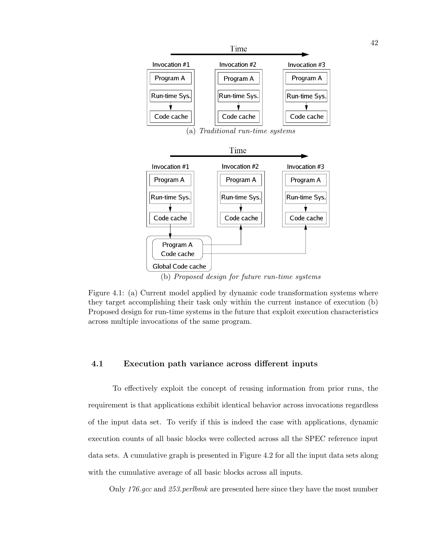

(a) Traditional run-time systems



Figure 4.1: (a) Current model applied by dynamic code transformation systems where they target accomplishing their task only within the current instance of execution (b) Proposed design for run-time systems in the future that exploit execution characteristics across multiple invocations of the same program.

# 4.1 Execution path variance across different inputs

To effectively exploit the concept of reusing information from prior runs, the requirement is that applications exhibit identical behavior across invocations regardless of the input data set. To verify if this is indeed the case with applications, dynamic execution counts of all basic blocks were collected across all the SPEC reference input data sets. A cumulative graph is presented in Figure 4.2 for all the input data sets along with the cumulative average of all basic blocks across all inputs.

Only 176.gcc and 253.perlbmk are presented here since they have the most number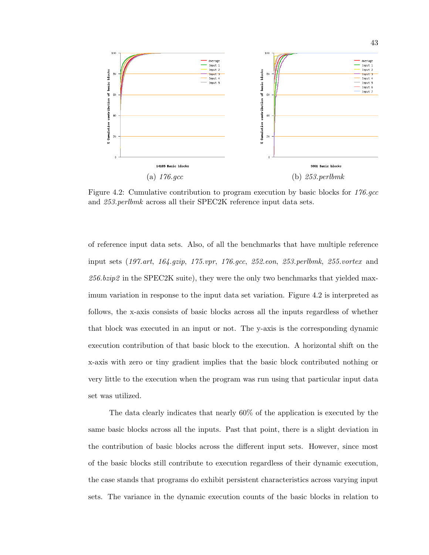

Figure 4.2: Cumulative contribution to program execution by basic blocks for 176.gcc and 253.perlbmk across all their SPEC2K reference input data sets.

of reference input data sets. Also, of all the benchmarks that have multiple reference input sets (197.art, 164.gzip, 175.vpr, 176.gcc, 252.eon, 253.perlbmk, 255.vortex and  $256.bzip2$  in the SPEC2K suite), they were the only two benchmarks that yielded maximum variation in response to the input data set variation. Figure 4.2 is interpreted as follows, the x-axis consists of basic blocks across all the inputs regardless of whether that block was executed in an input or not. The y-axis is the corresponding dynamic execution contribution of that basic block to the execution. A horizontal shift on the x-axis with zero or tiny gradient implies that the basic block contributed nothing or very little to the execution when the program was run using that particular input data set was utilized.

The data clearly indicates that nearly 60% of the application is executed by the same basic blocks across all the inputs. Past that point, there is a slight deviation in the contribution of basic blocks across the different input sets. However, since most of the basic blocks still contribute to execution regardless of their dynamic execution, the case stands that programs do exhibit persistent characteristics across varying input sets. The variance in the dynamic execution counts of the basic blocks in relation to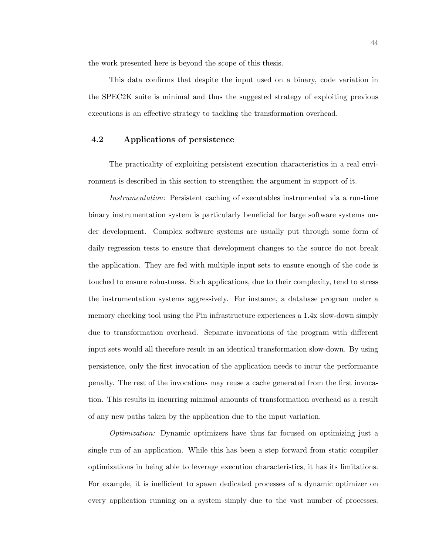the work presented here is beyond the scope of this thesis.

This data confirms that despite the input used on a binary, code variation in the SPEC2K suite is minimal and thus the suggested strategy of exploiting previous executions is an effective strategy to tackling the transformation overhead.

# 4.2 Applications of persistence

The practicality of exploiting persistent execution characteristics in a real environment is described in this section to strengthen the argument in support of it.

Instrumentation: Persistent caching of executables instrumented via a run-time binary instrumentation system is particularly beneficial for large software systems under development. Complex software systems are usually put through some form of daily regression tests to ensure that development changes to the source do not break the application. They are fed with multiple input sets to ensure enough of the code is touched to ensure robustness. Such applications, due to their complexity, tend to stress the instrumentation systems aggressively. For instance, a database program under a memory checking tool using the Pin infrastructure experiences a 1.4x slow-down simply due to transformation overhead. Separate invocations of the program with different input sets would all therefore result in an identical transformation slow-down. By using persistence, only the first invocation of the application needs to incur the performance penalty. The rest of the invocations may reuse a cache generated from the first invocation. This results in incurring minimal amounts of transformation overhead as a result of any new paths taken by the application due to the input variation.

Optimization: Dynamic optimizers have thus far focused on optimizing just a single run of an application. While this has been a step forward from static compiler optimizations in being able to leverage execution characteristics, it has its limitations. For example, it is inefficient to spawn dedicated processes of a dynamic optimizer on every application running on a system simply due to the vast number of processes.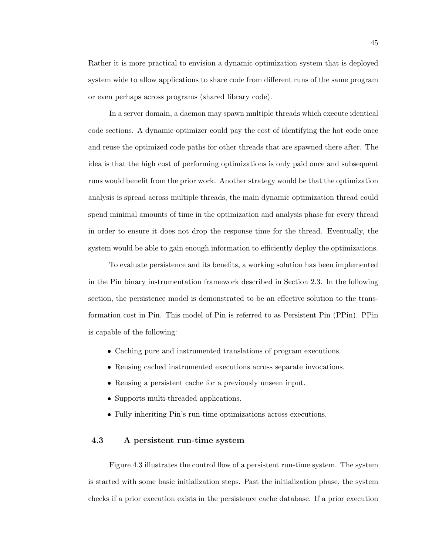Rather it is more practical to envision a dynamic optimization system that is deployed system wide to allow applications to share code from different runs of the same program or even perhaps across programs (shared library code).

In a server domain, a daemon may spawn multiple threads which execute identical code sections. A dynamic optimizer could pay the cost of identifying the hot code once and reuse the optimized code paths for other threads that are spawned there after. The idea is that the high cost of performing optimizations is only paid once and subsequent runs would benefit from the prior work. Another strategy would be that the optimization analysis is spread across multiple threads, the main dynamic optimization thread could spend minimal amounts of time in the optimization and analysis phase for every thread in order to ensure it does not drop the response time for the thread. Eventually, the system would be able to gain enough information to efficiently deploy the optimizations.

To evaluate persistence and its benefits, a working solution has been implemented in the Pin binary instrumentation framework described in Section 2.3. In the following section, the persistence model is demonstrated to be an effective solution to the transformation cost in Pin. This model of Pin is referred to as Persistent Pin (PPin). PPin is capable of the following:

- Caching pure and instrumented translations of program executions.
- Reusing cached instrumented executions across separate invocations.
- Reusing a persistent cache for a previously unseen input.
- Supports multi-threaded applications.
- Fully inheriting Pin's run-time optimizations across executions.

# 4.3 A persistent run-time system

Figure 4.3 illustrates the control flow of a persistent run-time system. The system is started with some basic initialization steps. Past the initialization phase, the system checks if a prior execution exists in the persistence cache database. If a prior execution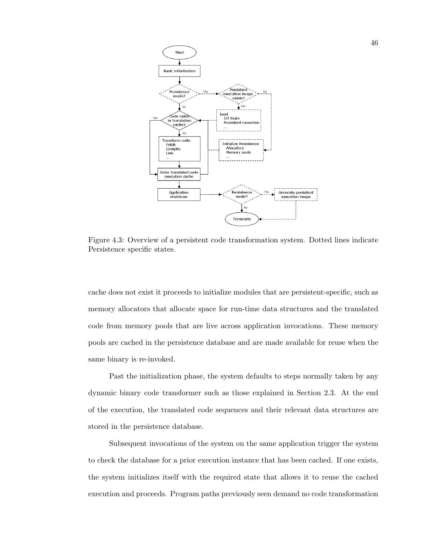

Figure 4.3: Overview of a persistent code transformation system. Dotted lines indicate Persistence specific states.

cache does not exist it proceeds to initialize modules that are persistent-specific, such as memory allocators that allocate space for run-time data structures and the translated code from memory pools that are live across application invocations. These memory pools are cached in the persistence database and are made available for reuse when the same binary is re-invoked.

Past the initialization phase, the system defaults to steps normally taken by any dynamic binary code transformer such as those explained in Section 2.3. At the end of the execution, the translated code sequences and their relevant data structures are stored in the persistence database.

Subsequent invocations of the system on the same application trigger the system to check the database for a prior execution instance that has been cached. If one exists, the system initializes itself with the required state that allows it to reuse the cached execution and proceeds. Program paths previously seen demand no code transformation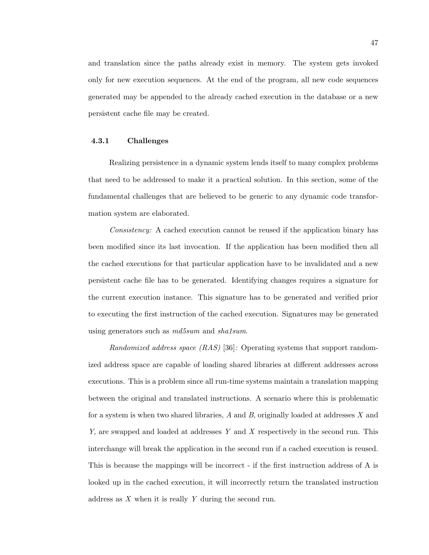and translation since the paths already exist in memory. The system gets invoked only for new execution sequences. At the end of the program, all new code sequences generated may be appended to the already cached execution in the database or a new persistent cache file may be created.

# 4.3.1 Challenges

Realizing persistence in a dynamic system lends itself to many complex problems that need to be addressed to make it a practical solution. In this section, some of the fundamental challenges that are believed to be generic to any dynamic code transformation system are elaborated.

Consistency: A cached execution cannot be reused if the application binary has been modified since its last invocation. If the application has been modified then all the cached executions for that particular application have to be invalidated and a new persistent cache file has to be generated. Identifying changes requires a signature for the current execution instance. This signature has to be generated and verified prior to executing the first instruction of the cached execution. Signatures may be generated using generators such as  $md5sum$  and sha1sum.

Randomized address space  $(RAS)$  [36]: Operating systems that support randomized address space are capable of loading shared libraries at different addresses across executions. This is a problem since all run-time systems maintain a translation mapping between the original and translated instructions. A scenario where this is problematic for a system is when two shared libraries,  $A$  and  $B$ , originally loaded at addresses  $X$  and Y, are swapped and loaded at addresses Y and X respectively in the second run. This interchange will break the application in the second run if a cached execution is reused. This is because the mappings will be incorrect - if the first instruction address of A is looked up in the cached execution, it will incorrectly return the translated instruction address as X when it is really Y during the second run.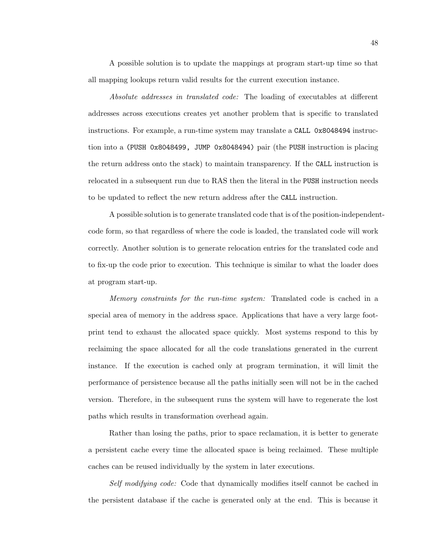A possible solution is to update the mappings at program start-up time so that all mapping lookups return valid results for the current execution instance.

Absolute addresses in translated code: The loading of executables at different addresses across executions creates yet another problem that is specific to translated instructions. For example, a run-time system may translate a CALL 0x8048494 instruction into a (PUSH 0x8048499, JUMP 0x8048494) pair (the PUSH instruction is placing the return address onto the stack) to maintain transparency. If the CALL instruction is relocated in a subsequent run due to RAS then the literal in the PUSH instruction needs to be updated to reflect the new return address after the CALL instruction.

A possible solution is to generate translated code that is of the position-independentcode form, so that regardless of where the code is loaded, the translated code will work correctly. Another solution is to generate relocation entries for the translated code and to fix-up the code prior to execution. This technique is similar to what the loader does at program start-up.

Memory constraints for the run-time system: Translated code is cached in a special area of memory in the address space. Applications that have a very large footprint tend to exhaust the allocated space quickly. Most systems respond to this by reclaiming the space allocated for all the code translations generated in the current instance. If the execution is cached only at program termination, it will limit the performance of persistence because all the paths initially seen will not be in the cached version. Therefore, in the subsequent runs the system will have to regenerate the lost paths which results in transformation overhead again.

Rather than losing the paths, prior to space reclamation, it is better to generate a persistent cache every time the allocated space is being reclaimed. These multiple caches can be reused individually by the system in later executions.

Self modifying code: Code that dynamically modifies itself cannot be cached in the persistent database if the cache is generated only at the end. This is because it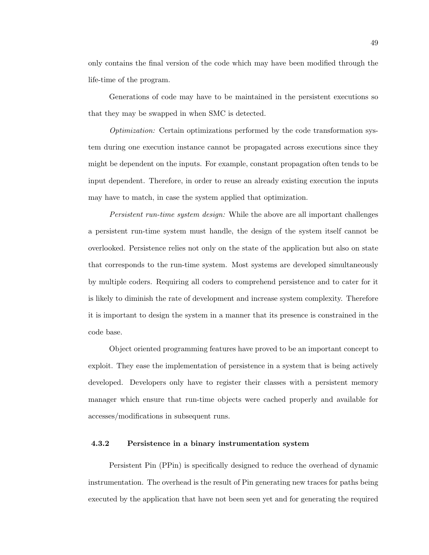only contains the final version of the code which may have been modified through the life-time of the program.

Generations of code may have to be maintained in the persistent executions so that they may be swapped in when SMC is detected.

Optimization: Certain optimizations performed by the code transformation system during one execution instance cannot be propagated across executions since they might be dependent on the inputs. For example, constant propagation often tends to be input dependent. Therefore, in order to reuse an already existing execution the inputs may have to match, in case the system applied that optimization.

Persistent run-time system design: While the above are all important challenges a persistent run-time system must handle, the design of the system itself cannot be overlooked. Persistence relies not only on the state of the application but also on state that corresponds to the run-time system. Most systems are developed simultaneously by multiple coders. Requiring all coders to comprehend persistence and to cater for it is likely to diminish the rate of development and increase system complexity. Therefore it is important to design the system in a manner that its presence is constrained in the code base.

Object oriented programming features have proved to be an important concept to exploit. They ease the implementation of persistence in a system that is being actively developed. Developers only have to register their classes with a persistent memory manager which ensure that run-time objects were cached properly and available for accesses/modifications in subsequent runs.

# 4.3.2 Persistence in a binary instrumentation system

Persistent Pin (PPin) is specifically designed to reduce the overhead of dynamic instrumentation. The overhead is the result of Pin generating new traces for paths being executed by the application that have not been seen yet and for generating the required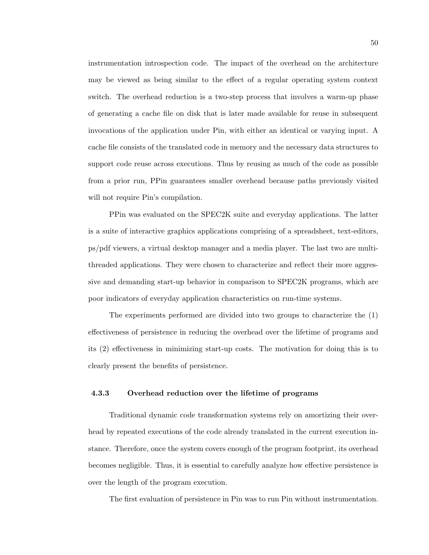instrumentation introspection code. The impact of the overhead on the architecture may be viewed as being similar to the effect of a regular operating system context switch. The overhead reduction is a two-step process that involves a warm-up phase of generating a cache file on disk that is later made available for reuse in subsequent invocations of the application under Pin, with either an identical or varying input. A cache file consists of the translated code in memory and the necessary data structures to support code reuse across executions. Thus by reusing as much of the code as possible from a prior run, PPin guarantees smaller overhead because paths previously visited will not require Pin's compilation.

PPin was evaluated on the SPEC2K suite and everyday applications. The latter is a suite of interactive graphics applications comprising of a spreadsheet, text-editors, ps/pdf viewers, a virtual desktop manager and a media player. The last two are multithreaded applications. They were chosen to characterize and reflect their more aggressive and demanding start-up behavior in comparison to SPEC2K programs, which are poor indicators of everyday application characteristics on run-time systems.

The experiments performed are divided into two groups to characterize the (1) effectiveness of persistence in reducing the overhead over the lifetime of programs and its (2) effectiveness in minimizing start-up costs. The motivation for doing this is to clearly present the benefits of persistence.

#### 4.3.3 Overhead reduction over the lifetime of programs

Traditional dynamic code transformation systems rely on amortizing their overhead by repeated executions of the code already translated in the current execution instance. Therefore, once the system covers enough of the program footprint, its overhead becomes negligible. Thus, it is essential to carefully analyze how effective persistence is over the length of the program execution.

The first evaluation of persistence in Pin was to run Pin without instrumentation.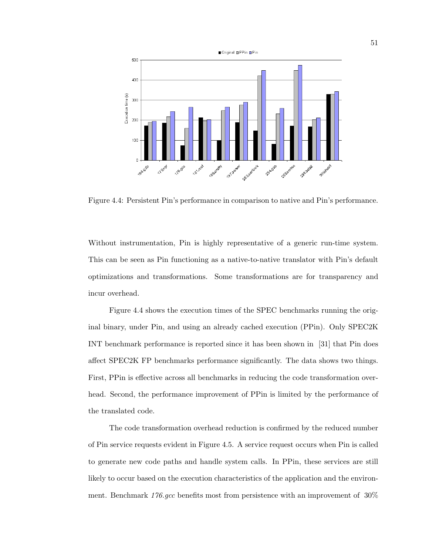

Figure 4.4: Persistent Pin's performance in comparison to native and Pin's performance.

Without instrumentation, Pin is highly representative of a generic run-time system. This can be seen as Pin functioning as a native-to-native translator with Pin's default optimizations and transformations. Some transformations are for transparency and incur overhead.

Figure 4.4 shows the execution times of the SPEC benchmarks running the original binary, under Pin, and using an already cached execution (PPin). Only SPEC2K INT benchmark performance is reported since it has been shown in [31] that Pin does affect SPEC2K FP benchmarks performance significantly. The data shows two things. First, PPin is effective across all benchmarks in reducing the code transformation overhead. Second, the performance improvement of PPin is limited by the performance of the translated code.

The code transformation overhead reduction is confirmed by the reduced number of Pin service requests evident in Figure 4.5. A service request occurs when Pin is called to generate new code paths and handle system calls. In PPin, these services are still likely to occur based on the execution characteristics of the application and the environment. Benchmark  $176 \text{.}$  gcc benefits most from persistence with an improvement of  $30\%$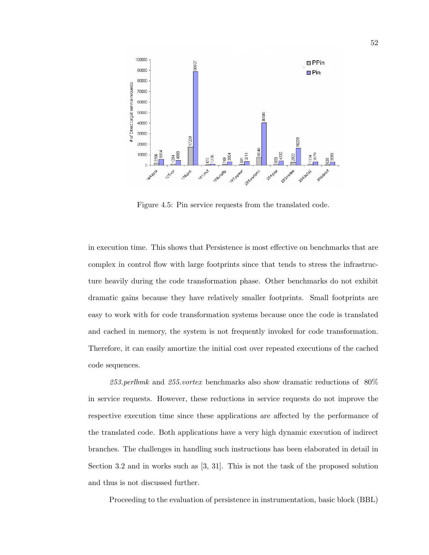

Figure 4.5: Pin service requests from the translated code.

in execution time. This shows that Persistence is most effective on benchmarks that are complex in control flow with large footprints since that tends to stress the infrastructure heavily during the code transformation phase. Other benchmarks do not exhibit dramatic gains because they have relatively smaller footprints. Small footprints are easy to work with for code transformation systems because once the code is translated and cached in memory, the system is not frequently invoked for code transformation. Therefore, it can easily amortize the initial cost over repeated executions of the cached code sequences.

253.perlbmk and 255.vortex benchmarks also show dramatic reductions of  $80\%$ in service requests. However, these reductions in service requests do not improve the respective execution time since these applications are affected by the performance of the translated code. Both applications have a very high dynamic execution of indirect branches. The challenges in handling such instructions has been elaborated in detail in Section 3.2 and in works such as [3, 31]. This is not the task of the proposed solution and thus is not discussed further.

Proceeding to the evaluation of persistence in instrumentation, basic block (BBL)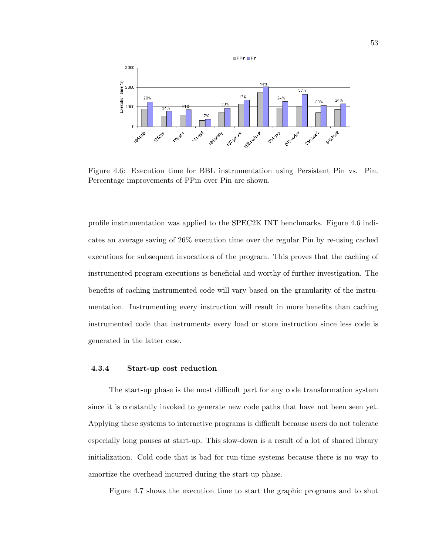

Figure 4.6: Execution time for BBL instrumentation using Persistent Pin vs. Pin. Percentage improvements of PPin over Pin are shown.

profile instrumentation was applied to the SPEC2K INT benchmarks. Figure 4.6 indicates an average saving of 26% execution time over the regular Pin by re-using cached executions for subsequent invocations of the program. This proves that the caching of instrumented program executions is beneficial and worthy of further investigation. The benefits of caching instrumented code will vary based on the granularity of the instrumentation. Instrumenting every instruction will result in more benefits than caching instrumented code that instruments every load or store instruction since less code is generated in the latter case.

# 4.3.4 Start-up cost reduction

The start-up phase is the most difficult part for any code transformation system since it is constantly invoked to generate new code paths that have not been seen yet. Applying these systems to interactive programs is difficult because users do not tolerate especially long pauses at start-up. This slow-down is a result of a lot of shared library initialization. Cold code that is bad for run-time systems because there is no way to amortize the overhead incurred during the start-up phase.

Figure 4.7 shows the execution time to start the graphic programs and to shut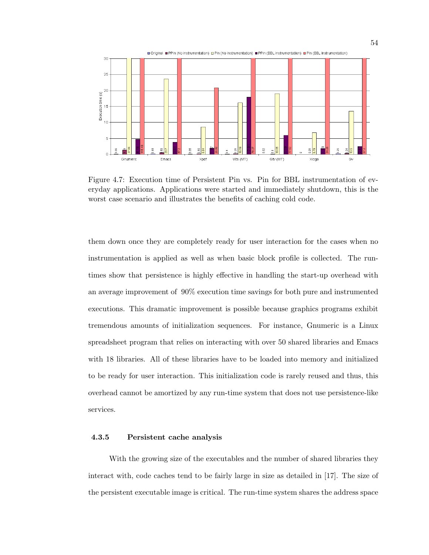

Figure 4.7: Execution time of Persistent Pin vs. Pin for BBL instrumentation of everyday applications. Applications were started and immediately shutdown, this is the worst case scenario and illustrates the benefits of caching cold code.

them down once they are completely ready for user interaction for the cases when no instrumentation is applied as well as when basic block profile is collected. The runtimes show that persistence is highly effective in handling the start-up overhead with an average improvement of 90% execution time savings for both pure and instrumented executions. This dramatic improvement is possible because graphics programs exhibit tremendous amounts of initialization sequences. For instance, Gnumeric is a Linux spreadsheet program that relies on interacting with over 50 shared libraries and Emacs with 18 libraries. All of these libraries have to be loaded into memory and initialized to be ready for user interaction. This initialization code is rarely reused and thus, this overhead cannot be amortized by any run-time system that does not use persistence-like services.

# 4.3.5 Persistent cache analysis

With the growing size of the executables and the number of shared libraries they interact with, code caches tend to be fairly large in size as detailed in [17]. The size of the persistent executable image is critical. The run-time system shares the address space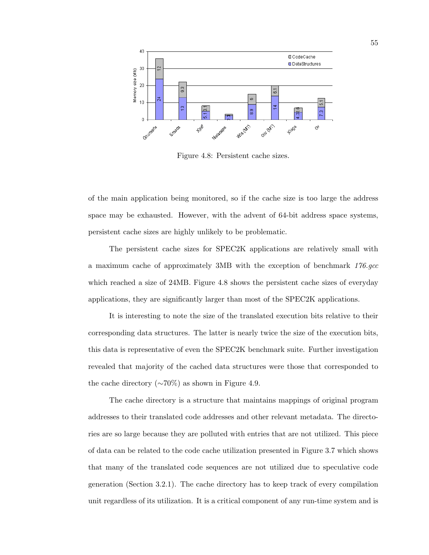

Figure 4.8: Persistent cache sizes.

of the main application being monitored, so if the cache size is too large the address space may be exhausted. However, with the advent of 64-bit address space systems, persistent cache sizes are highly unlikely to be problematic.

The persistent cache sizes for SPEC2K applications are relatively small with a maximum cache of approximately 3MB with the exception of benchmark 176.gcc which reached a size of 24MB. Figure 4.8 shows the persistent cache sizes of everyday applications, they are significantly larger than most of the SPEC2K applications.

It is interesting to note the size of the translated execution bits relative to their corresponding data structures. The latter is nearly twice the size of the execution bits, this data is representative of even the SPEC2K benchmark suite. Further investigation revealed that majority of the cached data structures were those that corresponded to the cache directory ( $\sim$ 70%) as shown in Figure 4.9.

The cache directory is a structure that maintains mappings of original program addresses to their translated code addresses and other relevant metadata. The directories are so large because they are polluted with entries that are not utilized. This piece of data can be related to the code cache utilization presented in Figure 3.7 which shows that many of the translated code sequences are not utilized due to speculative code generation (Section 3.2.1). The cache directory has to keep track of every compilation unit regardless of its utilization. It is a critical component of any run-time system and is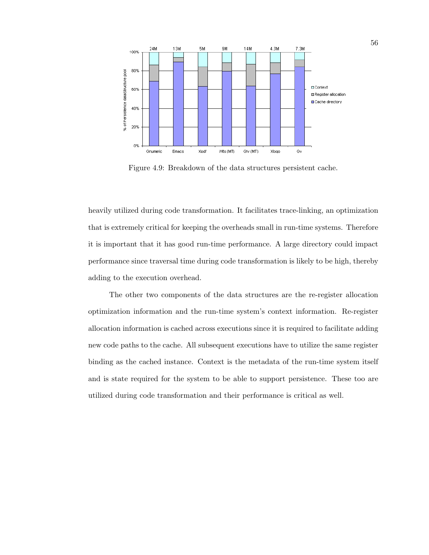

Figure 4.9: Breakdown of the data structures persistent cache.

heavily utilized during code transformation. It facilitates trace-linking, an optimization that is extremely critical for keeping the overheads small in run-time systems. Therefore it is important that it has good run-time performance. A large directory could impact performance since traversal time during code transformation is likely to be high, thereby adding to the execution overhead.

The other two components of the data structures are the re-register allocation optimization information and the run-time system's context information. Re-register allocation information is cached across executions since it is required to facilitate adding new code paths to the cache. All subsequent executions have to utilize the same register binding as the cached instance. Context is the metadata of the run-time system itself and is state required for the system to be able to support persistence. These too are utilized during code transformation and their performance is critical as well.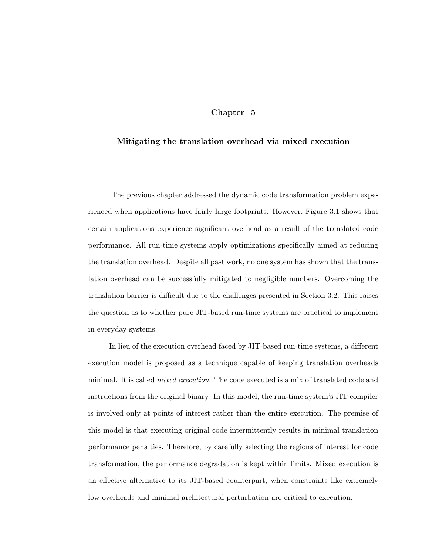# Chapter 5

# Mitigating the translation overhead via mixed execution

The previous chapter addressed the dynamic code transformation problem experienced when applications have fairly large footprints. However, Figure 3.1 shows that certain applications experience significant overhead as a result of the translated code performance. All run-time systems apply optimizations specifically aimed at reducing the translation overhead. Despite all past work, no one system has shown that the translation overhead can be successfully mitigated to negligible numbers. Overcoming the translation barrier is difficult due to the challenges presented in Section 3.2. This raises the question as to whether pure JIT-based run-time systems are practical to implement in everyday systems.

In lieu of the execution overhead faced by JIT-based run-time systems, a different execution model is proposed as a technique capable of keeping translation overheads minimal. It is called *mixed execution*. The code executed is a mix of translated code and instructions from the original binary. In this model, the run-time system's JIT compiler is involved only at points of interest rather than the entire execution. The premise of this model is that executing original code intermittently results in minimal translation performance penalties. Therefore, by carefully selecting the regions of interest for code transformation, the performance degradation is kept within limits. Mixed execution is an effective alternative to its JIT-based counterpart, when constraints like extremely low overheads and minimal architectural perturbation are critical to execution.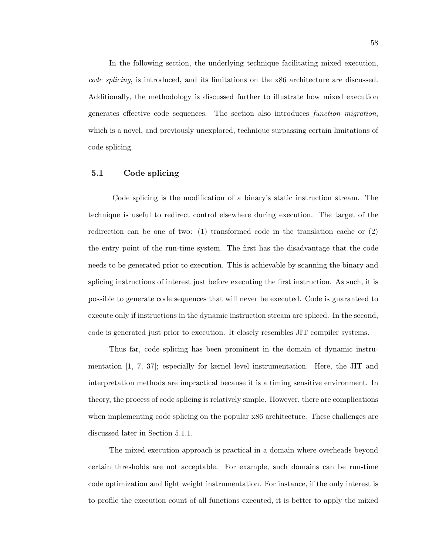In the following section, the underlying technique facilitating mixed execution, code splicing, is introduced, and its limitations on the x86 architecture are discussed. Additionally, the methodology is discussed further to illustrate how mixed execution generates effective code sequences. The section also introduces function migration, which is a novel, and previously unexplored, technique surpassing certain limitations of code splicing.

## 5.1 Code splicing

Code splicing is the modification of a binary's static instruction stream. The technique is useful to redirect control elsewhere during execution. The target of the redirection can be one of two:  $(1)$  transformed code in the translation cache or  $(2)$ the entry point of the run-time system. The first has the disadvantage that the code needs to be generated prior to execution. This is achievable by scanning the binary and splicing instructions of interest just before executing the first instruction. As such, it is possible to generate code sequences that will never be executed. Code is guaranteed to execute only if instructions in the dynamic instruction stream are spliced. In the second, code is generated just prior to execution. It closely resembles JIT compiler systems.

Thus far, code splicing has been prominent in the domain of dynamic instrumentation [1, 7, 37]; especially for kernel level instrumentation. Here, the JIT and interpretation methods are impractical because it is a timing sensitive environment. In theory, the process of code splicing is relatively simple. However, there are complications when implementing code splicing on the popular x86 architecture. These challenges are discussed later in Section 5.1.1.

The mixed execution approach is practical in a domain where overheads beyond certain thresholds are not acceptable. For example, such domains can be run-time code optimization and light weight instrumentation. For instance, if the only interest is to profile the execution count of all functions executed, it is better to apply the mixed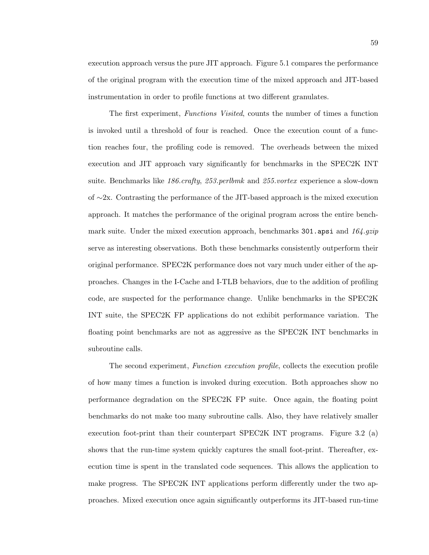execution approach versus the pure JIT approach. Figure 5.1 compares the performance of the original program with the execution time of the mixed approach and JIT-based instrumentation in order to profile functions at two different granulates.

The first experiment, Functions Visited, counts the number of times a function is invoked until a threshold of four is reached. Once the execution count of a function reaches four, the profiling code is removed. The overheads between the mixed execution and JIT approach vary significantly for benchmarks in the SPEC2K INT suite. Benchmarks like 186.*crafty, 253.perlbmk* and 255.*vortex* experience a slow-down of ∼2x. Contrasting the performance of the JIT-based approach is the mixed execution approach. It matches the performance of the original program across the entire benchmark suite. Under the mixed execution approach, benchmarks 301.apsi and 164.gzip serve as interesting observations. Both these benchmarks consistently outperform their original performance. SPEC2K performance does not vary much under either of the approaches. Changes in the I-Cache and I-TLB behaviors, due to the addition of profiling code, are suspected for the performance change. Unlike benchmarks in the SPEC2K INT suite, the SPEC2K FP applications do not exhibit performance variation. The floating point benchmarks are not as aggressive as the SPEC2K INT benchmarks in subroutine calls.

The second experiment, Function execution profile, collects the execution profile of how many times a function is invoked during execution. Both approaches show no performance degradation on the SPEC2K FP suite. Once again, the floating point benchmarks do not make too many subroutine calls. Also, they have relatively smaller execution foot-print than their counterpart SPEC2K INT programs. Figure 3.2 (a) shows that the run-time system quickly captures the small foot-print. Thereafter, execution time is spent in the translated code sequences. This allows the application to make progress. The SPEC2K INT applications perform differently under the two approaches. Mixed execution once again significantly outperforms its JIT-based run-time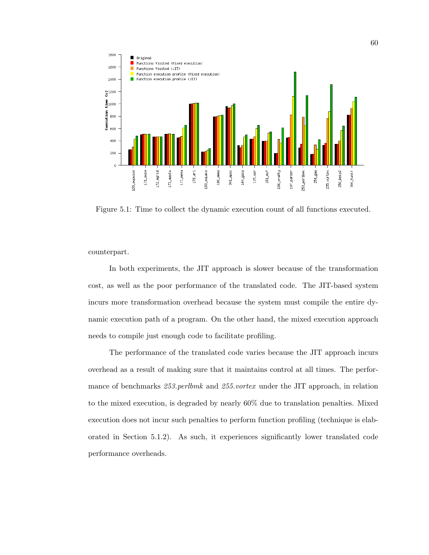

Figure 5.1: Time to collect the dynamic execution count of all functions executed.

counterpart.

In both experiments, the JIT approach is slower because of the transformation cost, as well as the poor performance of the translated code. The JIT-based system incurs more transformation overhead because the system must compile the entire dynamic execution path of a program. On the other hand, the mixed execution approach needs to compile just enough code to facilitate profiling.

The performance of the translated code varies because the JIT approach incurs overhead as a result of making sure that it maintains control at all times. The performance of benchmarks 253.perlbmk and 255.vortex under the JIT approach, in relation to the mixed execution, is degraded by nearly 60% due to translation penalties. Mixed execution does not incur such penalties to perform function profiling (technique is elaborated in Section 5.1.2). As such, it experiences significantly lower translated code performance overheads.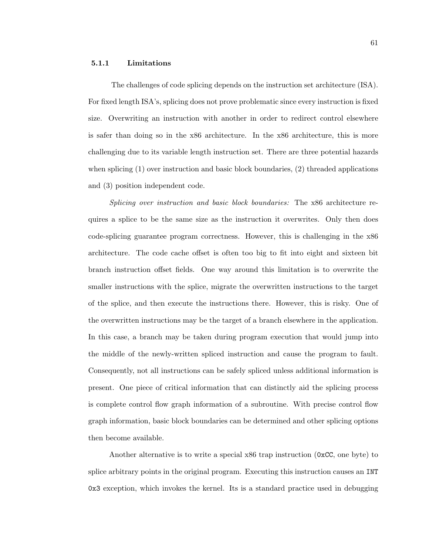## 5.1.1 Limitations

The challenges of code splicing depends on the instruction set architecture (ISA). For fixed length ISA's, splicing does not prove problematic since every instruction is fixed size. Overwriting an instruction with another in order to redirect control elsewhere is safer than doing so in the x86 architecture. In the x86 architecture, this is more challenging due to its variable length instruction set. There are three potential hazards when splicing  $(1)$  over instruction and basic block boundaries,  $(2)$  threaded applications and (3) position independent code.

Splicing over instruction and basic block boundaries: The x86 architecture requires a splice to be the same size as the instruction it overwrites. Only then does code-splicing guarantee program correctness. However, this is challenging in the x86 architecture. The code cache offset is often too big to fit into eight and sixteen bit branch instruction offset fields. One way around this limitation is to overwrite the smaller instructions with the splice, migrate the overwritten instructions to the target of the splice, and then execute the instructions there. However, this is risky. One of the overwritten instructions may be the target of a branch elsewhere in the application. In this case, a branch may be taken during program execution that would jump into the middle of the newly-written spliced instruction and cause the program to fault. Consequently, not all instructions can be safely spliced unless additional information is present. One piece of critical information that can distinctly aid the splicing process is complete control flow graph information of a subroutine. With precise control flow graph information, basic block boundaries can be determined and other splicing options then become available.

Another alternative is to write a special x86 trap instruction ( $0xCC$ , one byte) to splice arbitrary points in the original program. Executing this instruction causes an INT 0x3 exception, which invokes the kernel. Its is a standard practice used in debugging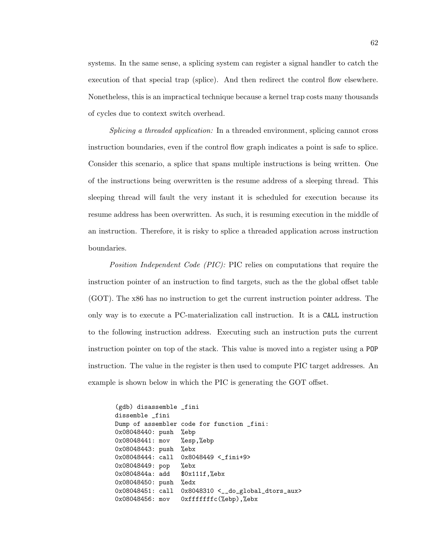systems. In the same sense, a splicing system can register a signal handler to catch the execution of that special trap (splice). And then redirect the control flow elsewhere. Nonetheless, this is an impractical technique because a kernel trap costs many thousands of cycles due to context switch overhead.

Splicing a threaded application: In a threaded environment, splicing cannot cross instruction boundaries, even if the control flow graph indicates a point is safe to splice. Consider this scenario, a splice that spans multiple instructions is being written. One of the instructions being overwritten is the resume address of a sleeping thread. This sleeping thread will fault the very instant it is scheduled for execution because its resume address has been overwritten. As such, it is resuming execution in the middle of an instruction. Therefore, it is risky to splice a threaded application across instruction boundaries.

Position Independent Code (PIC): PIC relies on computations that require the instruction pointer of an instruction to find targets, such as the the global offset table (GOT). The x86 has no instruction to get the current instruction pointer address. The only way is to execute a PC-materialization call instruction. It is a CALL instruction to the following instruction address. Executing such an instruction puts the current instruction pointer on top of the stack. This value is moved into a register using a POP instruction. The value in the register is then used to compute PIC target addresses. An example is shown below in which the PIC is generating the GOT offset.

(gdb) disassemble \_fini dissemble \_fini Dump of assembler code for function \_fini: 0x08048440: push %ebp 0x08048441: mov %esp,%ebp 0x08048443: push %ebx 0x08048444: call 0x8048449 <\_fini+9> 0x08048449: pop %ebx 0x0804844a: add \$0x111f,%ebx 0x08048450: push %edx 0x08048451: call 0x8048310 <\_\_do\_global\_dtors\_aux> 0x08048456: mov 0xfffffffc(%ebp),%ebx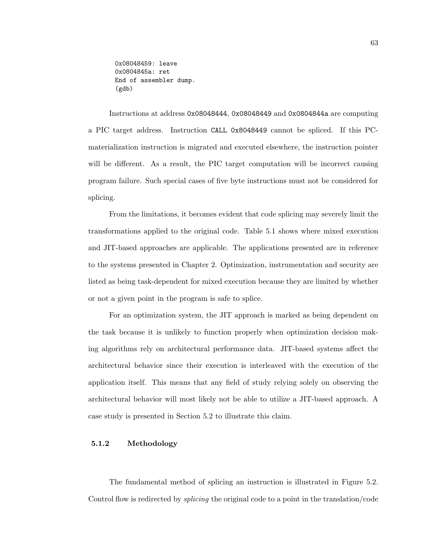0x08048459: leave 0x0804845a: ret End of assembler dump. (gdb)

Instructions at address 0x08048444, 0x08048449 and 0x0804844a are computing a PIC target address. Instruction CALL 0x8048449 cannot be spliced. If this PCmaterialization instruction is migrated and executed elsewhere, the instruction pointer will be different. As a result, the PIC target computation will be incorrect causing program failure. Such special cases of five byte instructions must not be considered for splicing.

From the limitations, it becomes evident that code splicing may severely limit the transformations applied to the original code. Table 5.1 shows where mixed execution and JIT-based approaches are applicable. The applications presented are in reference to the systems presented in Chapter 2. Optimization, instrumentation and security are listed as being task-dependent for mixed execution because they are limited by whether or not a given point in the program is safe to splice.

For an optimization system, the JIT approach is marked as being dependent on the task because it is unlikely to function properly when optimization decision making algorithms rely on architectural performance data. JIT-based systems affect the architectural behavior since their execution is interleaved with the execution of the application itself. This means that any field of study relying solely on observing the architectural behavior will most likely not be able to utilize a JIT-based approach. A case study is presented in Section 5.2 to illustrate this claim.

## 5.1.2 Methodology

The fundamental method of splicing an instruction is illustrated in Figure 5.2. Control flow is redirected by *splicing* the original code to a point in the translation/code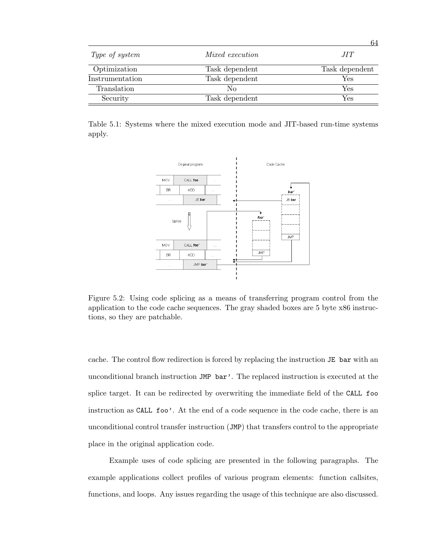|                 |                 | 64             |
|-----------------|-----------------|----------------|
| Type of system  | Mixed execution | JIT            |
| Optimization    | Task dependent  | Task dependent |
| Instrumentation | Task dependent  | Yes            |
| Translation     | No              | Yes            |
| Security        | Task dependent  | Yes            |

Table 5.1: Systems where the mixed execution mode and JIT-based run-time systems apply.



Figure 5.2: Using code splicing as a means of transferring program control from the application to the code cache sequences. The gray shaded boxes are 5 byte x86 instructions, so they are patchable.

cache. The control flow redirection is forced by replacing the instruction JE bar with an unconditional branch instruction JMP bar'. The replaced instruction is executed at the splice target. It can be redirected by overwriting the immediate field of the CALL foo instruction as CALL foo'. At the end of a code sequence in the code cache, there is an unconditional control transfer instruction (JMP) that transfers control to the appropriate place in the original application code.

Example uses of code splicing are presented in the following paragraphs. The example applications collect profiles of various program elements: function callsites, functions, and loops. Any issues regarding the usage of this technique are also discussed.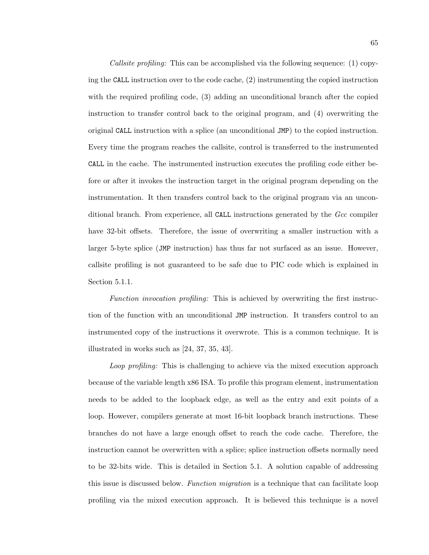*Callsite profiling:* This can be accomplished via the following sequence: (1) copying the CALL instruction over to the code cache, (2) instrumenting the copied instruction with the required profiling code, (3) adding an unconditional branch after the copied instruction to transfer control back to the original program, and (4) overwriting the original CALL instruction with a splice (an unconditional JMP) to the copied instruction. Every time the program reaches the callsite, control is transferred to the instrumented CALL in the cache. The instrumented instruction executes the profiling code either before or after it invokes the instruction target in the original program depending on the instrumentation. It then transfers control back to the original program via an unconditional branch. From experience, all CALL instructions generated by the Gcc compiler have 32-bit offsets. Therefore, the issue of overwriting a smaller instruction with a larger 5-byte splice (JMP instruction) has thus far not surfaced as an issue. However, callsite profiling is not guaranteed to be safe due to PIC code which is explained in Section 5.1.1.

Function invocation profiling: This is achieved by overwriting the first instruction of the function with an unconditional JMP instruction. It transfers control to an instrumented copy of the instructions it overwrote. This is a common technique. It is illustrated in works such as [24, 37, 35, 43].

Loop profiling: This is challenging to achieve via the mixed execution approach because of the variable length x86 ISA. To profile this program element, instrumentation needs to be added to the loopback edge, as well as the entry and exit points of a loop. However, compilers generate at most 16-bit loopback branch instructions. These branches do not have a large enough offset to reach the code cache. Therefore, the instruction cannot be overwritten with a splice; splice instruction offsets normally need to be 32-bits wide. This is detailed in Section 5.1. A solution capable of addressing this issue is discussed below. Function migration is a technique that can facilitate loop profiling via the mixed execution approach. It is believed this technique is a novel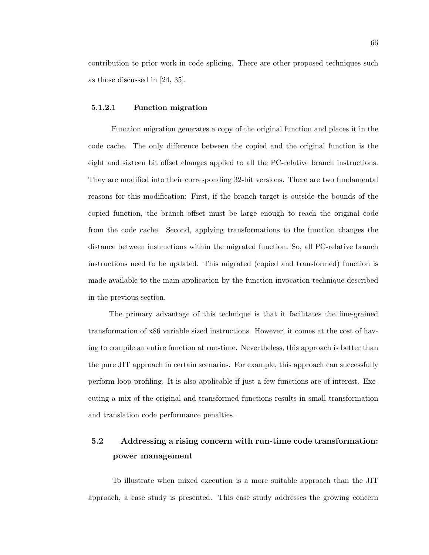contribution to prior work in code splicing. There are other proposed techniques such as those discussed in [24, 35].

#### 5.1.2.1 Function migration

Function migration generates a copy of the original function and places it in the code cache. The only difference between the copied and the original function is the eight and sixteen bit offset changes applied to all the PC-relative branch instructions. They are modified into their corresponding 32-bit versions. There are two fundamental reasons for this modification: First, if the branch target is outside the bounds of the copied function, the branch offset must be large enough to reach the original code from the code cache. Second, applying transformations to the function changes the distance between instructions within the migrated function. So, all PC-relative branch instructions need to be updated. This migrated (copied and transformed) function is made available to the main application by the function invocation technique described in the previous section.

The primary advantage of this technique is that it facilitates the fine-grained transformation of x86 variable sized instructions. However, it comes at the cost of having to compile an entire function at run-time. Nevertheless, this approach is better than the pure JIT approach in certain scenarios. For example, this approach can successfully perform loop profiling. It is also applicable if just a few functions are of interest. Executing a mix of the original and transformed functions results in small transformation and translation code performance penalties.

# 5.2 Addressing a rising concern with run-time code transformation: power management

To illustrate when mixed execution is a more suitable approach than the JIT approach, a case study is presented. This case study addresses the growing concern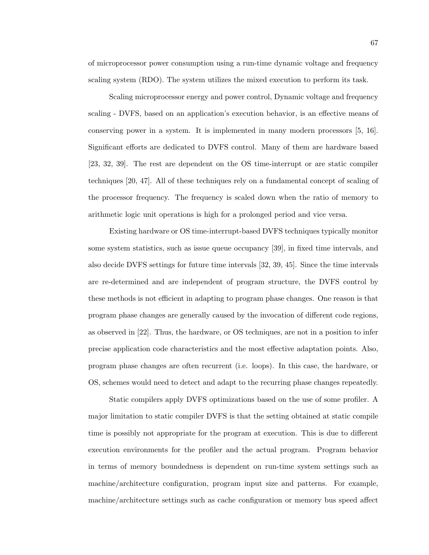of microprocessor power consumption using a run-time dynamic voltage and frequency scaling system (RDO). The system utilizes the mixed execution to perform its task.

Scaling microprocessor energy and power control, Dynamic voltage and frequency scaling - DVFS, based on an application's execution behavior, is an effective means of conserving power in a system. It is implemented in many modern processors [5, 16]. Significant efforts are dedicated to DVFS control. Many of them are hardware based [23, 32, 39]. The rest are dependent on the OS time-interrupt or are static compiler techniques [20, 47]. All of these techniques rely on a fundamental concept of scaling of the processor frequency. The frequency is scaled down when the ratio of memory to arithmetic logic unit operations is high for a prolonged period and vice versa.

Existing hardware or OS time-interrupt-based DVFS techniques typically monitor some system statistics, such as issue queue occupancy [39], in fixed time intervals, and also decide DVFS settings for future time intervals [32, 39, 45]. Since the time intervals are re-determined and are independent of program structure, the DVFS control by these methods is not efficient in adapting to program phase changes. One reason is that program phase changes are generally caused by the invocation of different code regions, as observed in [22]. Thus, the hardware, or OS techniques, are not in a position to infer precise application code characteristics and the most effective adaptation points. Also, program phase changes are often recurrent (i.e. loops). In this case, the hardware, or OS, schemes would need to detect and adapt to the recurring phase changes repeatedly.

Static compilers apply DVFS optimizations based on the use of some profiler. A major limitation to static compiler DVFS is that the setting obtained at static compile time is possibly not appropriate for the program at execution. This is due to different execution environments for the profiler and the actual program. Program behavior in terms of memory boundedness is dependent on run-time system settings such as machine/architecture configuration, program input size and patterns. For example, machine/architecture settings such as cache configuration or memory bus speed affect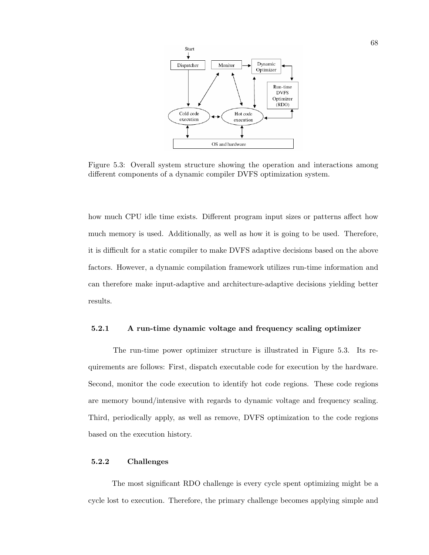

Figure 5.3: Overall system structure showing the operation and interactions among different components of a dynamic compiler DVFS optimization system.

how much CPU idle time exists. Different program input sizes or patterns affect how much memory is used. Additionally, as well as how it is going to be used. Therefore, it is difficult for a static compiler to make DVFS adaptive decisions based on the above factors. However, a dynamic compilation framework utilizes run-time information and can therefore make input-adaptive and architecture-adaptive decisions yielding better results.

#### 5.2.1 A run-time dynamic voltage and frequency scaling optimizer

The run-time power optimizer structure is illustrated in Figure 5.3. Its requirements are follows: First, dispatch executable code for execution by the hardware. Second, monitor the code execution to identify hot code regions. These code regions are memory bound/intensive with regards to dynamic voltage and frequency scaling. Third, periodically apply, as well as remove, DVFS optimization to the code regions based on the execution history.

#### 5.2.2 Challenges

The most significant RDO challenge is every cycle spent optimizing might be a cycle lost to execution. Therefore, the primary challenge becomes applying simple and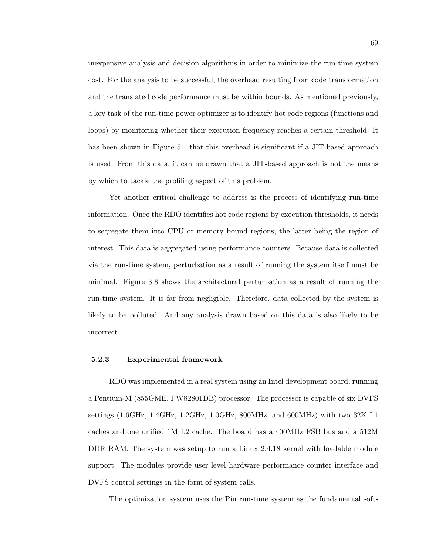inexpensive analysis and decision algorithms in order to minimize the run-time system cost. For the analysis to be successful, the overhead resulting from code transformation and the translated code performance must be within bounds. As mentioned previously, a key task of the run-time power optimizer is to identify hot code regions (functions and loops) by monitoring whether their execution frequency reaches a certain threshold. It has been shown in Figure 5.1 that this overhead is significant if a JIT-based approach is used. From this data, it can be drawn that a JIT-based approach is not the means by which to tackle the profiling aspect of this problem.

Yet another critical challenge to address is the process of identifying run-time information. Once the RDO identifies hot code regions by execution thresholds, it needs to segregate them into CPU or memory bound regions, the latter being the region of interest. This data is aggregated using performance counters. Because data is collected via the run-time system, perturbation as a result of running the system itself must be minimal. Figure 3.8 shows the architectural perturbation as a result of running the run-time system. It is far from negligible. Therefore, data collected by the system is likely to be polluted. And any analysis drawn based on this data is also likely to be incorrect.

## 5.2.3 Experimental framework

RDO was implemented in a real system using an Intel development board, running a Pentium-M (855GME, FW82801DB) processor. The processor is capable of six DVFS settings (1.6GHz, 1.4GHz, 1.2GHz, 1.0GHz, 800MHz, and 600MHz) with two 32K L1 caches and one unified 1M L2 cache. The board has a 400MHz FSB bus and a 512M DDR RAM. The system was setup to run a Linux 2.4.18 kernel with loadable module support. The modules provide user level hardware performance counter interface and DVFS control settings in the form of system calls.

The optimization system uses the Pin run-time system as the fundamental soft-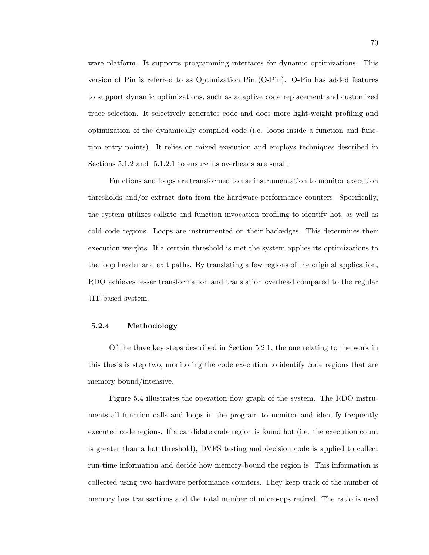ware platform. It supports programming interfaces for dynamic optimizations. This version of Pin is referred to as Optimization Pin (O-Pin). O-Pin has added features to support dynamic optimizations, such as adaptive code replacement and customized trace selection. It selectively generates code and does more light-weight profiling and optimization of the dynamically compiled code (i.e. loops inside a function and function entry points). It relies on mixed execution and employs techniques described in Sections 5.1.2 and 5.1.2.1 to ensure its overheads are small.

Functions and loops are transformed to use instrumentation to monitor execution thresholds and/or extract data from the hardware performance counters. Specifically, the system utilizes callsite and function invocation profiling to identify hot, as well as cold code regions. Loops are instrumented on their backedges. This determines their execution weights. If a certain threshold is met the system applies its optimizations to the loop header and exit paths. By translating a few regions of the original application, RDO achieves lesser transformation and translation overhead compared to the regular JIT-based system.

## 5.2.4 Methodology

Of the three key steps described in Section 5.2.1, the one relating to the work in this thesis is step two, monitoring the code execution to identify code regions that are memory bound/intensive.

Figure 5.4 illustrates the operation flow graph of the system. The RDO instruments all function calls and loops in the program to monitor and identify frequently executed code regions. If a candidate code region is found hot (i.e. the execution count is greater than a hot threshold), DVFS testing and decision code is applied to collect run-time information and decide how memory-bound the region is. This information is collected using two hardware performance counters. They keep track of the number of memory bus transactions and the total number of micro-ops retired. The ratio is used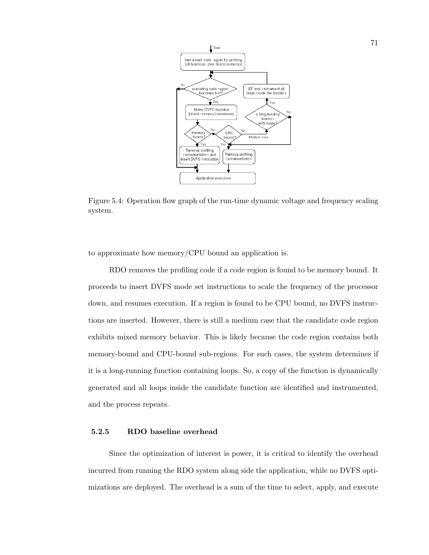

Figure 5.4: Operation flow graph of the run-time dynamic voltage and frequency scaling system.

to approximate how memory/CPU bound an application is.

RDO removes the profiling code if a code region is found to be memory bound. It proceeds to insert DVFS mode set instructions to scale the frequency of the processor down, and resumes execution. If a region is found to be CPU bound, no DVFS instructions are inserted. However, there is still a medium case that the candidate code region exhibits mixed memory behavior. This is likely because the code region contains both memory-bound and CPU-bound sub-regions. For such cases, the system determines if it is a long-running function containing loops. So, a copy of the function is dynamically generated and all loops inside the candidate function are identified and instrumented, and the process repeats.

# 5.2.5 RDO baseline overhead

Since the optimization of interest is power, it is critical to identify the overhead incurred from running the RDO system along side the application, while no DVFS optimizations are deployed. The overhead is a sum of the time to select, apply, and execute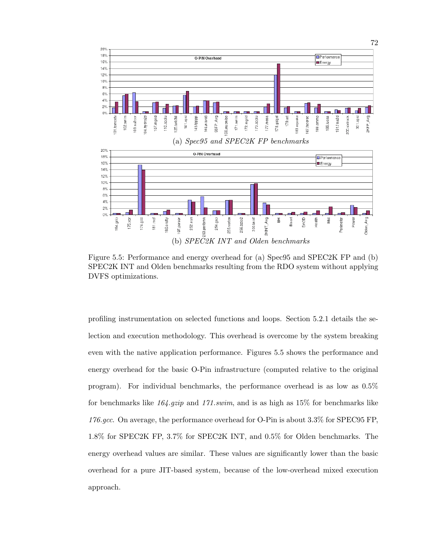

Figure 5.5: Performance and energy overhead for (a) Spec95 and SPEC2K FP and (b) SPEC2K INT and Olden benchmarks resulting from the RDO system without applying DVFS optimizations.

profiling instrumentation on selected functions and loops. Section 5.2.1 details the selection and execution methodology. This overhead is overcome by the system breaking even with the native application performance. Figures 5.5 shows the performance and energy overhead for the basic O-Pin infrastructure (computed relative to the original program). For individual benchmarks, the performance overhead is as low as 0.5% for benchmarks like  $164.$ gzip and  $171.$ swim, and is as high as  $15\%$  for benchmarks like 176.gcc. On average, the performance overhead for O-Pin is about 3.3% for SPEC95 FP, 1.8% for SPEC2K FP, 3.7% for SPEC2K INT, and 0.5% for Olden benchmarks. The energy overhead values are similar. These values are significantly lower than the basic overhead for a pure JIT-based system, because of the low-overhead mixed execution approach.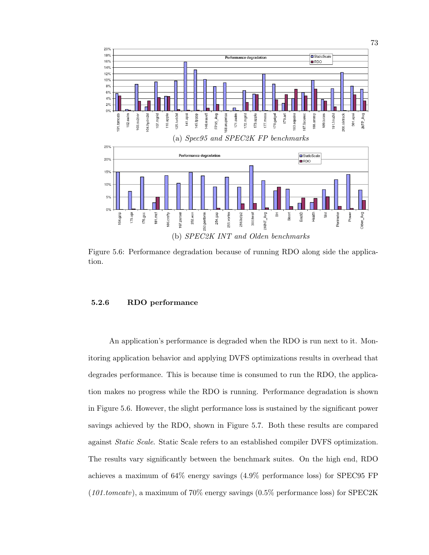

Figure 5.6: Performance degradation because of running RDO along side the application.

#### 5.2.6 RDO performance

An application's performance is degraded when the RDO is run next to it. Monitoring application behavior and applying DVFS optimizations results in overhead that degrades performance. This is because time is consumed to run the RDO, the application makes no progress while the RDO is running. Performance degradation is shown in Figure 5.6. However, the slight performance loss is sustained by the significant power savings achieved by the RDO, shown in Figure 5.7. Both these results are compared against Static Scale. Static Scale refers to an established compiler DVFS optimization. The results vary significantly between the benchmark suites. On the high end, RDO achieves a maximum of 64% energy savings (4.9% performance loss) for SPEC95 FP  $(101.tomcatv)$ , a maximum of  $70\%$  energy savings  $(0.5\%$  performance loss) for SPEC2K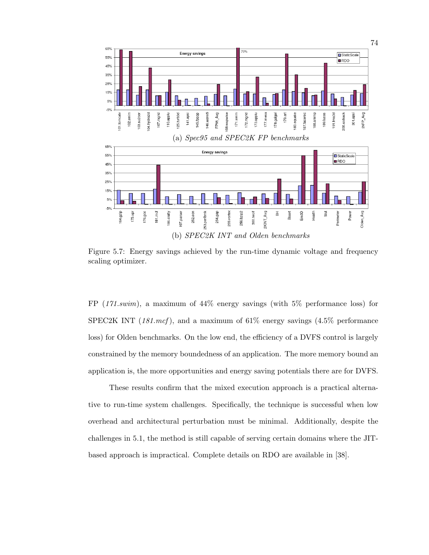

Figure 5.7: Energy savings achieved by the run-time dynamic voltage and frequency scaling optimizer.

FP (171.swim), a maximum of 44% energy savings (with 5% performance loss) for SPEC2K INT  $(181.mcf)$ , and a maximum of 61% energy savings  $(4.5\%$  performance loss) for Olden benchmarks. On the low end, the efficiency of a DVFS control is largely constrained by the memory boundedness of an application. The more memory bound an application is, the more opportunities and energy saving potentials there are for DVFS.

These results confirm that the mixed execution approach is a practical alternative to run-time system challenges. Specifically, the technique is successful when low overhead and architectural perturbation must be minimal. Additionally, despite the challenges in 5.1, the method is still capable of serving certain domains where the JITbased approach is impractical. Complete details on RDO are available in [38].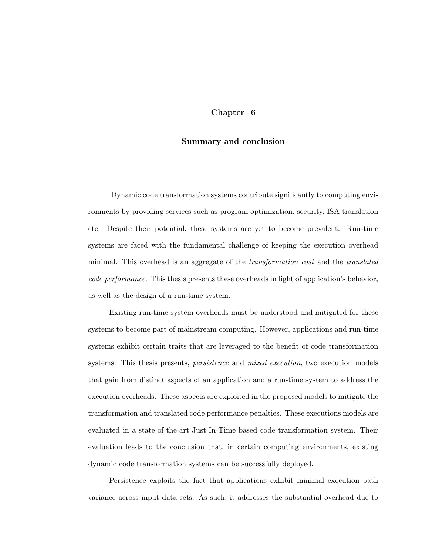# Chapter 6

## Summary and conclusion

Dynamic code transformation systems contribute significantly to computing environments by providing services such as program optimization, security, ISA translation etc. Despite their potential, these systems are yet to become prevalent. Run-time systems are faced with the fundamental challenge of keeping the execution overhead minimal. This overhead is an aggregate of the *transformation cost* and the *translated* code performance. This thesis presents these overheads in light of application's behavior, as well as the design of a run-time system.

Existing run-time system overheads must be understood and mitigated for these systems to become part of mainstream computing. However, applications and run-time systems exhibit certain traits that are leveraged to the benefit of code transformation systems. This thesis presents, *persistence* and *mixed execution*, two execution models that gain from distinct aspects of an application and a run-time system to address the execution overheads. These aspects are exploited in the proposed models to mitigate the transformation and translated code performance penalties. These executions models are evaluated in a state-of-the-art Just-In-Time based code transformation system. Their evaluation leads to the conclusion that, in certain computing environments, existing dynamic code transformation systems can be successfully deployed.

Persistence exploits the fact that applications exhibit minimal execution path variance across input data sets. As such, it addresses the substantial overhead due to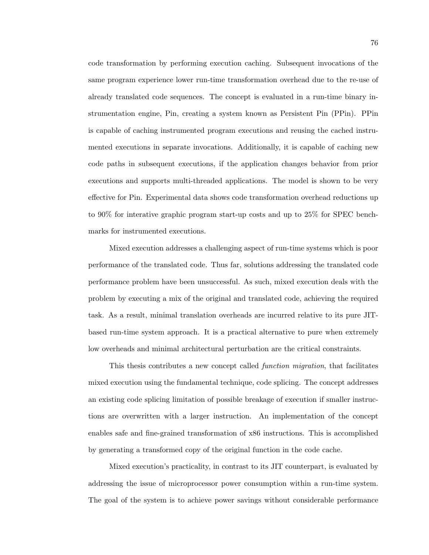code transformation by performing execution caching. Subsequent invocations of the same program experience lower run-time transformation overhead due to the re-use of already translated code sequences. The concept is evaluated in a run-time binary instrumentation engine, Pin, creating a system known as Persistent Pin (PPin). PPin is capable of caching instrumented program executions and reusing the cached instrumented executions in separate invocations. Additionally, it is capable of caching new code paths in subsequent executions, if the application changes behavior from prior executions and supports multi-threaded applications. The model is shown to be very effective for Pin. Experimental data shows code transformation overhead reductions up to 90% for interative graphic program start-up costs and up to 25% for SPEC benchmarks for instrumented executions.

Mixed execution addresses a challenging aspect of run-time systems which is poor performance of the translated code. Thus far, solutions addressing the translated code performance problem have been unsuccessful. As such, mixed execution deals with the problem by executing a mix of the original and translated code, achieving the required task. As a result, minimal translation overheads are incurred relative to its pure JITbased run-time system approach. It is a practical alternative to pure when extremely low overheads and minimal architectural perturbation are the critical constraints.

This thesis contributes a new concept called function migration, that facilitates mixed execution using the fundamental technique, code splicing. The concept addresses an existing code splicing limitation of possible breakage of execution if smaller instructions are overwritten with a larger instruction. An implementation of the concept enables safe and fine-grained transformation of x86 instructions. This is accomplished by generating a transformed copy of the original function in the code cache.

Mixed execution's practicality, in contrast to its JIT counterpart, is evaluated by addressing the issue of microprocessor power consumption within a run-time system. The goal of the system is to achieve power savings without considerable performance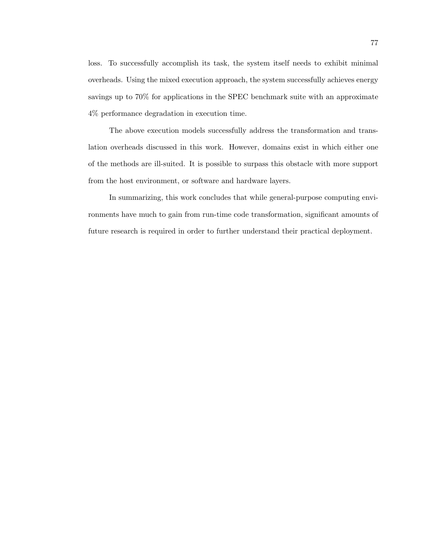loss. To successfully accomplish its task, the system itself needs to exhibit minimal overheads. Using the mixed execution approach, the system successfully achieves energy savings up to 70% for applications in the SPEC benchmark suite with an approximate 4% performance degradation in execution time.

The above execution models successfully address the transformation and translation overheads discussed in this work. However, domains exist in which either one of the methods are ill-suited. It is possible to surpass this obstacle with more support from the host environment, or software and hardware layers.

In summarizing, this work concludes that while general-purpose computing environments have much to gain from run-time code transformation, significant amounts of future research is required in order to further understand their practical deployment.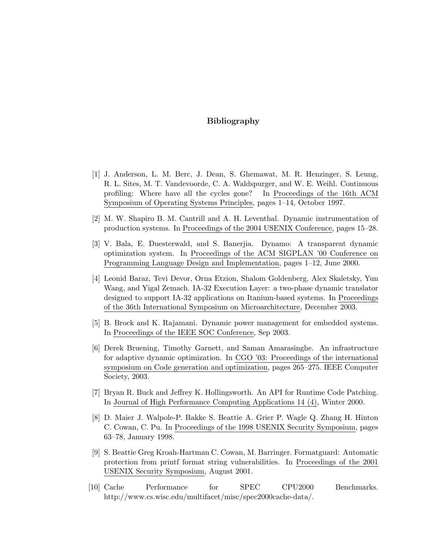# Bibliography

- [1] J. Anderson, L. M. Berc, J. Dean, S. Ghemawat, M. R. Henzinger, S. Leung, R. L. Sites, M. T. Vandevoorde, C. A. Waldspurger, and W. E. Weihl. Continuous profiling: Where have all the cycles gone? In Proceedings of the 16th ACM Symposium of Operating Systems Principles, pages 1–14, October 1997.
- [2] M. W. Shapiro B. M. Cantrill and A. H. Leventhal. Dynamic instrumentation of production systems. In Proceedings of the 2004 USENIX Conference, pages 15–28.
- [3] V. Bala, E. Duesterwald, and S. Banerjia. Dynamo: A transparent dynamic optimization system. In Proceedings of the ACM SIGPLAN '00 Conference on Programming Language Design and Implementation, pages 1–12, June 2000.
- [4] Leonid Baraz, Tevi Devor, Orna Etzion, Shalom Goldenberg, Alex Skaletsky, Yun Wang, and Yigal Zemach. IA-32 Execution Layer: a two-phase dynamic translator designed to support IA-32 applications on Itanium-based systems. In Proceedings of the 36th International Symposium on Microarchitecture, December 2003.
- [5] B. Brock and K. Rajamani. Dynamic power management for embedded systems. In Proceedings of the IEEE SOC Conference, Sep 2003.
- [6] Derek Bruening, Timothy Garnett, and Saman Amarasinghe. An infrastructure for adaptive dynamic optimization. In CGO '03: Proceedings of the international symposium on Code generation and optimization, pages 265–275. IEEE Computer Society, 2003.
- [7] Bryan R. Buck and Jeffrey K. Hollingsworth. An API for Runtime Code Patching. In Journal of High Performance Computing Applications 14 (4), Winter 2000.
- [8] D. Maier J. Walpole-P. Bakke S. Beattie A. Grier P. Wagle Q. Zhang H. Hinton C. Cowan, C. Pu. In Proceedings of the 1998 USENIX Security Symposium, pages 63–78, January 1998.
- [9] S. Beattie Greg Kroah-Hartman C. Cowan, M. Barringer. Formatguard: Automatic protection from printf format string vulnerabilities. In Proceedings of the 2001 USENIX Security Symposium, August 2001.
- [10] Cache Performance for SPEC CPU2000 Benchmarks. http://www.cs.wisc.edu/multifacet/misc/spec2000cache-data/.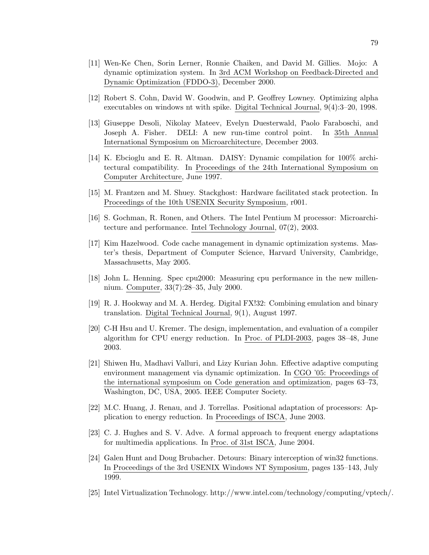- [12] Robert S. Cohn, David W. Goodwin, and P. Geoffrey Lowney. Optimizing alpha executables on windows nt with spike. Digital Technical Journal, 9(4):3–20, 1998.
- [13] Giuseppe Desoli, Nikolay Mateev, Evelyn Duesterwald, Paolo Faraboschi, and Joseph A. Fisher. DELI: A new run-time control point. In 35th Annual International Symposium on Microarchitecture, December 2003.
- [14] K. Ebcioglu and E. R. Altman. DAISY: Dynamic compilation for 100% architectural compatibility. In Proceedings of the 24th International Symposium on Computer Architecture, June 1997.
- [15] M. Frantzen and M. Shuey. Stackghost: Hardware facilitated stack protection. In Proceedings of the 10th USENIX Security Symposium, r001.
- [16] S. Gochman, R. Ronen, and Others. The Intel Pentium M processor: Microarchitecture and performance. Intel Technology Journal, 07(2), 2003.
- [17] Kim Hazelwood. Code cache management in dynamic optimization systems. Master's thesis, Department of Computer Science, Harvard University, Cambridge, Massachusetts, May 2005.
- [18] John L. Henning. Spec cpu2000: Measuring cpu performance in the new millennium. Computer, 33(7):28–35, July 2000.
- [19] R. J. Hookway and M. A. Herdeg. Digital FX!32: Combining emulation and binary translation. Digital Technical Journal, 9(1), August 1997.
- [20] C-H Hsu and U. Kremer. The design, implementation, and evaluation of a compiler algorithm for CPU energy reduction. In Proc. of PLDI-2003, pages 38–48, June 2003.
- [21] Shiwen Hu, Madhavi Valluri, and Lizy Kurian John. Effective adaptive computing environment management via dynamic optimization. In CGO '05: Proceedings of the international symposium on Code generation and optimization, pages 63–73, Washington, DC, USA, 2005. IEEE Computer Society.
- [22] M.C. Huang, J. Renau, and J. Torrellas. Positional adaptation of processors: Application to energy reduction. In Proceedings of ISCA, June 2003.
- [23] C. J. Hughes and S. V. Adve. A formal approach to frequent energy adaptations for multimedia applications. In Proc. of 31st ISCA, June 2004.
- [24] Galen Hunt and Doug Brubacher. Detours: Binary interception of win32 functions. In Proceedings of the 3rd USENIX Windows NT Symposium, pages 135–143, July 1999.
- [25] Intel Virtualization Technology. http://www.intel.com/technology/computing/vptech/.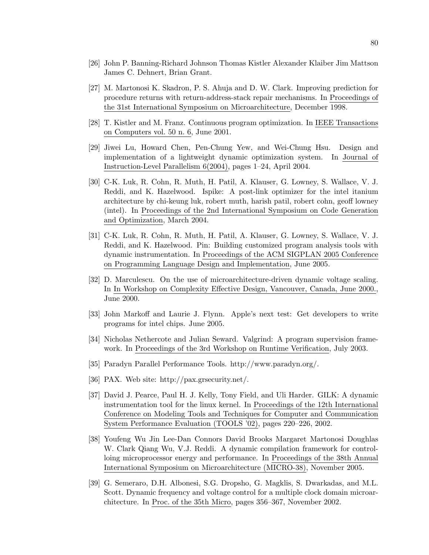- [26] John P. Banning-Richard Johnson Thomas Kistler Alexander Klaiber Jim Mattson James C. Dehnert, Brian Grant.
- [27] M. Martonosi K. Skadron, P. S. Ahuja and D. W. Clark. Improving prediction for procedure returns with return-address-stack repair mechanisms. In Proceedings of the 31st International Symposium on Microarchitecture, December 1998.
- [28] T. Kistler and M. Franz. Continuous program optimization. In IEEE Transactions on Computers vol. 50 n. 6, June 2001.
- [29] Jiwei Lu, Howard Chen, Pen-Chung Yew, and Wei-Chung Hsu. Design and implementation of a lightweight dynamic optimization system. In Journal of Instruction-Level Parallelism 6(2004), pages 1–24, April 2004.
- [30] C-K. Luk, R. Cohn, R. Muth, H. Patil, A. Klauser, G. Lowney, S. Wallace, V. J. Reddi, and K. Hazelwood. Ispike: A post-link optimizer for the intel itanium architecture by chi-keung luk, robert muth, harish patil, robert cohn, geoff lowney (intel). In Proceedings of the 2nd International Symposium on Code Generation and Optimization, March 2004.
- [31] C-K. Luk, R. Cohn, R. Muth, H. Patil, A. Klauser, G. Lowney, S. Wallace, V. J. Reddi, and K. Hazelwood. Pin: Building customized program analysis tools with dynamic instrumentation. In Proceedings of the ACM SIGPLAN 2005 Conference on Programming Language Design and Implementation, June 2005.
- [32] D. Marculescu. On the use of microarchitecture-driven dynamic voltage scaling. In In Workshop on Complexity Effective Design, Vancouver, Canada, June 2000., June 2000.
- [33] John Markoff and Laurie J. Flynn. Apple's next test: Get developers to write programs for intel chips. June 2005.
- [34] Nicholas Nethercote and Julian Seward. Valgrind: A program supervision framework. In Proceedings of the 3rd Workshop on Runtime Verification, July 2003.
- [35] Paradyn Parallel Performance Tools. http://www.paradyn.org/.
- [36] PAX. Web site: http://pax.grsecurity.net/.
- [37] David J. Pearce, Paul H. J. Kelly, Tony Field, and Uli Harder. GILK: A dynamic instrumentation tool for the linux kernel. In Proceedings of the 12th International Conference on Modeling Tools and Techniques for Computer and Communication System Performance Evaluation (TOOLS '02), pages 220–226, 2002.
- [38] Youfeng Wu Jin Lee-Dan Connors David Brooks Margaret Martonosi Doughlas W. Clark Qiang Wu, V.J. Reddi. A dynamic compilation framework for controlloing microprocessor energy and performance. In Proceedings of the 38th Annual International Symposium on Microarchitecture (MICRO-38), November 2005.
- [39] G. Semeraro, D.H. Albonesi, S.G. Dropsho, G. Magklis, S. Dwarkadas, and M.L. Scott. Dynamic frequency and voltage control for a multiple clock domain microarchitecture. In Proc. of the 35th Micro, pages 356–367, November 2002.